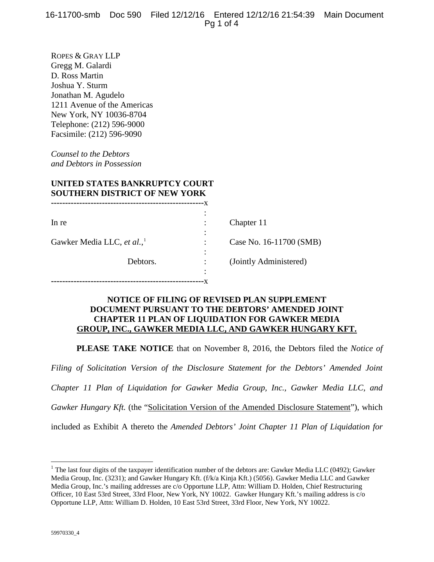ROPES & GRAY LLP Gregg M. Galardi D. Ross Martin Joshua Y. Sturm Jonathan M. Agudelo 1211 Avenue of the Americas New York, NY 10036-8704 Telephone: (212) 596-9000 Facsimile: (212) 596-9090

*Counsel to the Debtors and Debtors in Possession*

### **UNITED STATES BANKRUPTCY COURT SOUTHERN DISTRICT OF NEW YORK**

| In re                                  | Chapter 11              |
|----------------------------------------|-------------------------|
|                                        |                         |
| Gawker Media LLC, et al., <sup>1</sup> | Case No. 16-11700 (SMB) |
|                                        |                         |
| Debtors.                               | (Jointly Administered)  |
|                                        |                         |
|                                        |                         |

### **NOTICE OF FILING OF REVISED PLAN SUPPLEMENT DOCUMENT PURSUANT TO THE DEBTORS' AMENDED JOINT CHAPTER 11 PLAN OF LIQUIDATION FOR GAWKER MEDIA GROUP, INC., GAWKER MEDIA LLC, AND GAWKER HUNGARY KFT.**

**PLEASE TAKE NOTICE** that on November 8, 2016, the Debtors filed the *Notice of* 

*Filing of Solicitation Version of the Disclosure Statement for the Debtors' Amended Joint Chapter 11 Plan of Liquidation for Gawker Media Group, Inc., Gawker Media LLC, and Gawker Hungary Kft.* (the "Solicitation Version of the Amended Disclosure Statement"), which included as Exhibit A thereto the *Amended Debtors' Joint Chapter 11 Plan of Liquidation for* 

 $\overline{a}$ 

<span id="page-0-0"></span><sup>&</sup>lt;sup>1</sup> The last four digits of the taxpayer identification number of the debtors are: Gawker Media LLC (0492); Gawker Media Group, Inc. (3231); and Gawker Hungary Kft. (f/k/a Kinja Kft.) (5056). Gawker Media LLC and Gawker Media Group, Inc.'s mailing addresses are c/o Opportune LLP, Attn: William D. Holden, Chief Restructuring Officer, 10 East 53rd Street, 33rd Floor, New York, NY 10022. Gawker Hungary Kft.'s mailing address is c/o Opportune LLP, Attn: William D. Holden, 10 East 53rd Street, 33rd Floor, New York, NY 10022.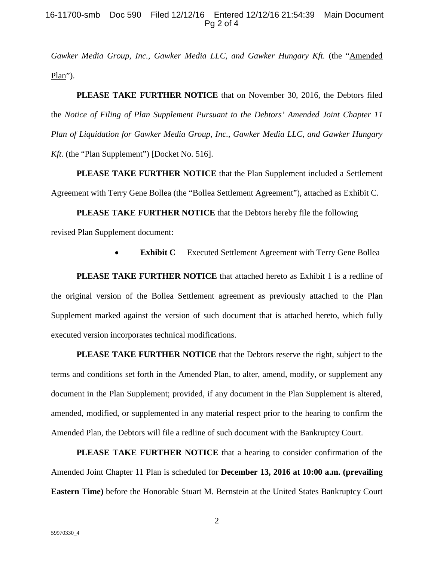### 16-11700-smb Doc 590 Filed 12/12/16 Entered 12/12/16 21:54:39 Main Document Pg 2 of 4

Gawker Media Group, Inc., Gawker Media LLC, and Gawker Hungary Kft. (the "Amended Plan").

**PLEASE TAKE FURTHER NOTICE** that on November 30, 2016, the Debtors filed the *Notice of Filing of Plan Supplement Pursuant to the Debtors' Amended Joint Chapter 11 Plan of Liquidation for Gawker Media Group, Inc., Gawker Media LLC, and Gawker Hungary Kft.* (the "Plan Supplement") [Docket No. 516].

**PLEASE TAKE FURTHER NOTICE** that the Plan Supplement included a Settlement Agreement with Terry Gene Bollea (the "Bollea Settlement Agreement"), attached as Exhibit C.

**PLEASE TAKE FURTHER NOTICE** that the Debtors hereby file the following revised Plan Supplement document:

**Exhibit C** Executed Settlement Agreement with Terry Gene Bollea

**PLEASE TAKE FURTHER NOTICE** that attached hereto as Exhibit 1 is a redline of the original version of the Bollea Settlement agreement as previously attached to the Plan Supplement marked against the version of such document that is attached hereto, which fully executed version incorporates technical modifications.

**PLEASE TAKE FURTHER NOTICE** that the Debtors reserve the right, subject to the terms and conditions set forth in the Amended Plan, to alter, amend, modify, or supplement any document in the Plan Supplement; provided, if any document in the Plan Supplement is altered, amended, modified, or supplemented in any material respect prior to the hearing to confirm the Amended Plan, the Debtors will file a redline of such document with the Bankruptcy Court.

**PLEASE TAKE FURTHER NOTICE** that a hearing to consider confirmation of the Amended Joint Chapter 11 Plan is scheduled for **December 13, 2016 at 10:00 a.m. (prevailing Eastern Time)** before the Honorable Stuart M. Bernstein at the United States Bankruptcy Court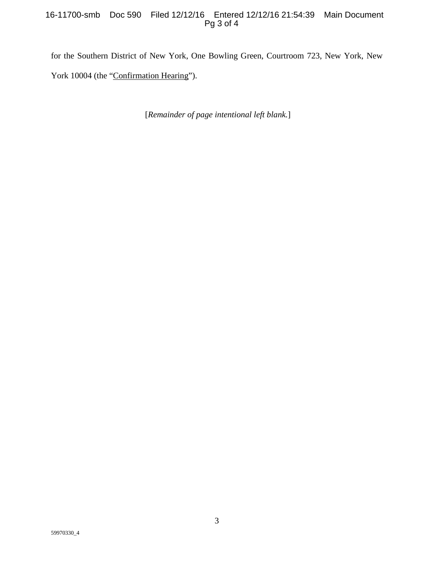### 16-11700-smb Doc 590 Filed 12/12/16 Entered 12/12/16 21:54:39 Main Document Pg 3 of 4

for the Southern District of New York, One Bowling Green, Courtroom 723, New York, New York 10004 (the "Confirmation Hearing").

[*Remainder of page intentional left blank.*]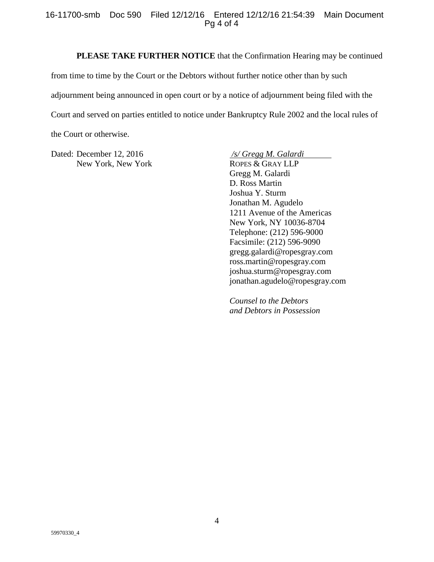### 16-11700-smb Doc 590 Filed 12/12/16 Entered 12/12/16 21:54:39 Main Document Pg 4 of 4

### **PLEASE TAKE FURTHER NOTICE** that the Confirmation Hearing may be continued

from time to time by the Court or the Debtors without further notice other than by such adjournment being announced in open court or by a notice of adjournment being filed with the Court and served on parties entitled to notice under Bankruptcy Rule 2002 and the local rules of the Court or otherwise.

Dated: December 12, 2016 */s/ Gregg M. Galardi* New York, New York ROPES & GRAY LLP

Gregg M. Galardi D. Ross Martin Joshua Y. Sturm Jonathan M. Agudelo 1211 Avenue of the Americas New York, NY 10036-8704 Telephone: (212) 596-9000 Facsimile: (212) 596-9090 gregg.galardi@ropesgray.com ross.martin@ropesgray.com joshua.sturm@ropesgray.com jonathan.agudelo@ropesgray.com

*Counsel to the Debtors and Debtors in Possession*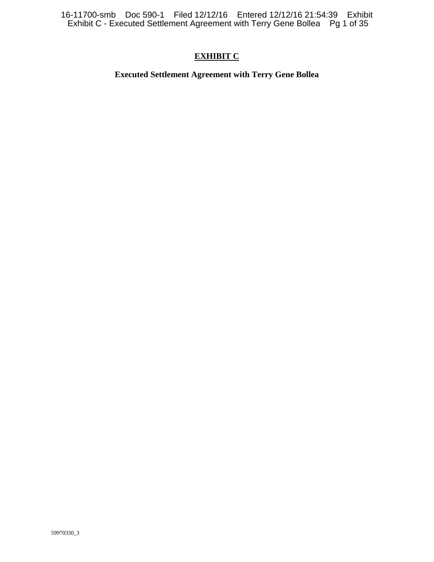16-11700-smb Doc 590-1 Filed 12/12/16 Entered 12/12/16 21:54:39 Exhibit Exhibit C - Executed Settlement Agreement with Terry Gene Bollea Pg 1 of 35

### **EXHIBIT C**

**Executed Settlement Agreement with Terry Gene Bollea**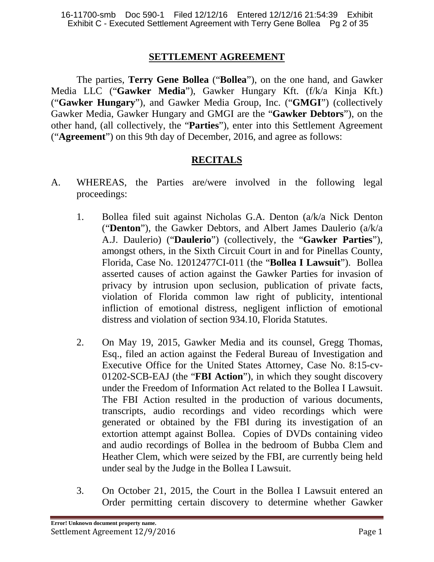### **SETTLEMENT AGREEMENT**

The parties, **Terry Gene Bollea** ("**Bollea**"), on the one hand, and Gawker Media LLC ("**Gawker Media**"), Gawker Hungary Kft. (f/k/a Kinja Kft.) ("**Gawker Hungary**"), and Gawker Media Group, Inc. ("**GMGI**") (collectively Gawker Media, Gawker Hungary and GMGI are the "**Gawker Debtors**"), on the other hand, (all collectively, the "**Parties**"), enter into this Settlement Agreement ("**Agreement**") on this 9th day of December, 2016, and agree as follows:

# **RECITALS**

- A. WHEREAS, the Parties are/were involved in the following legal proceedings:
	- 1. Bollea filed suit against Nicholas G.A. Denton (a/k/a Nick Denton ("**Denton**"), the Gawker Debtors, and Albert James Daulerio (a/k/a A.J. Daulerio) ("**Daulerio**") (collectively, the "**Gawker Parties**"), amongst others, in the Sixth Circuit Court in and for Pinellas County, Florida, Case No. 12012477CI-011 (the "**Bollea I Lawsuit**"). Bollea asserted causes of action against the Gawker Parties for invasion of privacy by intrusion upon seclusion, publication of private facts, violation of Florida common law right of publicity, intentional infliction of emotional distress, negligent infliction of emotional distress and violation of section 934.10, Florida Statutes.
	- 2. On May 19, 2015, Gawker Media and its counsel, Gregg Thomas, Esq., filed an action against the Federal Bureau of Investigation and Executive Office for the United States Attorney, Case No. 8:15-cv-01202-SCB-EAJ (the "**FBI Action**"), in which they sought discovery under the Freedom of Information Act related to the Bollea I Lawsuit. The FBI Action resulted in the production of various documents, transcripts, audio recordings and video recordings which were generated or obtained by the FBI during its investigation of an extortion attempt against Bollea. Copies of DVDs containing video and audio recordings of Bollea in the bedroom of Bubba Clem and Heather Clem, which were seized by the FBI, are currently being held under seal by the Judge in the Bollea I Lawsuit.
	- 3. On October 21, 2015, the Court in the Bollea I Lawsuit entered an Order permitting certain discovery to determine whether Gawker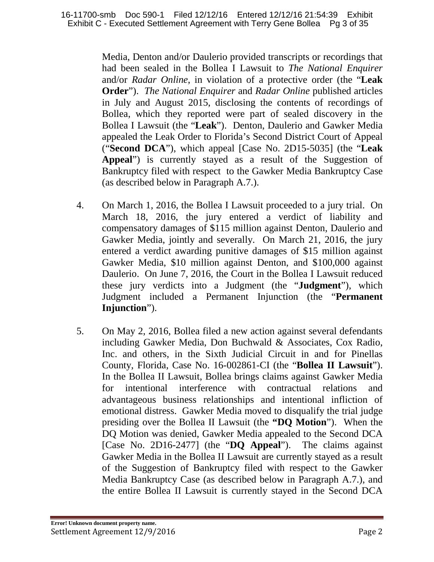Media, Denton and/or Daulerio provided transcripts or recordings that had been sealed in the Bollea I Lawsuit to *The National Enquirer*  and/or *Radar Online*, in violation of a protective order (the "**Leak Order**"). *The National Enquirer* and *Radar Online* published articles in July and August 2015, disclosing the contents of recordings of Bollea, which they reported were part of sealed discovery in the Bollea I Lawsuit (the "**Leak**"). Denton, Daulerio and Gawker Media appealed the Leak Order to Florida's Second District Court of Appeal ("**Second DCA**"), which appeal [Case No. 2D15-5035] (the "**Leak Appeal**") is currently stayed as a result of the Suggestion of Bankruptcy filed with respect to the Gawker Media Bankruptcy Case (as described below in Paragraph A.7.).

- 4. On March 1, 2016, the Bollea I Lawsuit proceeded to a jury trial. On March 18, 2016, the jury entered a verdict of liability and compensatory damages of \$115 million against Denton, Daulerio and Gawker Media, jointly and severally. On March 21, 2016, the jury entered a verdict awarding punitive damages of \$15 million against Gawker Media, \$10 million against Denton, and \$100,000 against Daulerio. On June 7, 2016, the Court in the Bollea I Lawsuit reduced these jury verdicts into a Judgment (the "**Judgment**"), which Judgment included a Permanent Injunction (the "**Permanent Injunction**").
- 5. On May 2, 2016, Bollea filed a new action against several defendants including Gawker Media, Don Buchwald & Associates, Cox Radio, Inc. and others, in the Sixth Judicial Circuit in and for Pinellas County, Florida, Case No. 16-002861-CI (the "**Bollea II Lawsuit**"). In the Bollea II Lawsuit, Bollea brings claims against Gawker Media for intentional interference with contractual relations and advantageous business relationships and intentional infliction of emotional distress. Gawker Media moved to disqualify the trial judge presiding over the Bollea II Lawsuit (the **"DQ Motion**"). When the DQ Motion was denied, Gawker Media appealed to the Second DCA [Case No. 2D16-2477] (the "**DQ Appeal**"). The claims against Gawker Media in the Bollea II Lawsuit are currently stayed as a result of the Suggestion of Bankruptcy filed with respect to the Gawker Media Bankruptcy Case (as described below in Paragraph A.7.), and the entire Bollea II Lawsuit is currently stayed in the Second DCA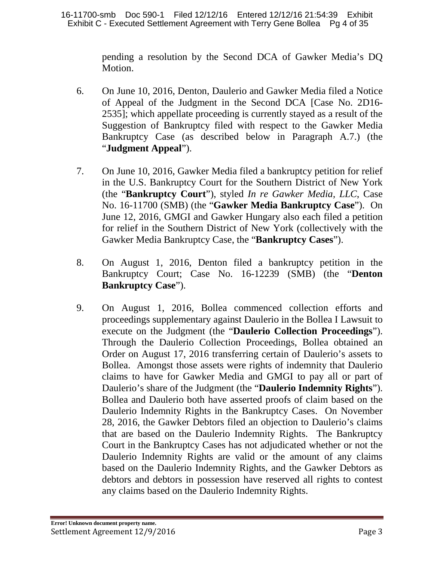pending a resolution by the Second DCA of Gawker Media's DQ Motion.

- 6. On June 10, 2016, Denton, Daulerio and Gawker Media filed a Notice of Appeal of the Judgment in the Second DCA [Case No. 2D16- 2535]; which appellate proceeding is currently stayed as a result of the Suggestion of Bankruptcy filed with respect to the Gawker Media Bankruptcy Case (as described below in Paragraph A.7.) (the "**Judgment Appeal**").
- 7. On June 10, 2016, Gawker Media filed a bankruptcy petition for relief in the U.S. Bankruptcy Court for the Southern District of New York (the "**Bankruptcy Court**"), styled *In re Gawker Media, LLC*, Case No. 16-11700 (SMB) (the "**Gawker Media Bankruptcy Case**"). On June 12, 2016, GMGI and Gawker Hungary also each filed a petition for relief in the Southern District of New York (collectively with the Gawker Media Bankruptcy Case, the "**Bankruptcy Cases**").
- 8. On August 1, 2016, Denton filed a bankruptcy petition in the Bankruptcy Court; Case No. 16-12239 (SMB) (the "**Denton Bankruptcy Case**").
- 9. On August 1, 2016, Bollea commenced collection efforts and proceedings supplementary against Daulerio in the Bollea I Lawsuit to execute on the Judgment (the "**Daulerio Collection Proceedings**"). Through the Daulerio Collection Proceedings, Bollea obtained an Order on August 17, 2016 transferring certain of Daulerio's assets to Bollea. Amongst those assets were rights of indemnity that Daulerio claims to have for Gawker Media and GMGI to pay all or part of Daulerio's share of the Judgment (the "**Daulerio Indemnity Rights**"). Bollea and Daulerio both have asserted proofs of claim based on the Daulerio Indemnity Rights in the Bankruptcy Cases. On November 28, 2016, the Gawker Debtors filed an objection to Daulerio's claims that are based on the Daulerio Indemnity Rights. The Bankruptcy Court in the Bankruptcy Cases has not adjudicated whether or not the Daulerio Indemnity Rights are valid or the amount of any claims based on the Daulerio Indemnity Rights, and the Gawker Debtors as debtors and debtors in possession have reserved all rights to contest any claims based on the Daulerio Indemnity Rights.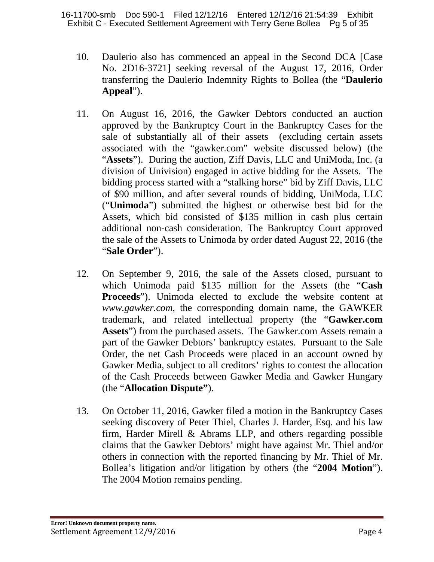- 10. Daulerio also has commenced an appeal in the Second DCA [Case No. 2D16-3721] seeking reversal of the August 17, 2016, Order transferring the Daulerio Indemnity Rights to Bollea (the "**Daulerio Appeal**").
- 11. On August 16, 2016, the Gawker Debtors conducted an auction approved by the Bankruptcy Court in the Bankruptcy Cases for the sale of substantially all of their assets (excluding certain assets associated with the "gawker.com" website discussed below) (the "**Assets**"). During the auction, Ziff Davis, LLC and UniModa, Inc. (a division of Univision) engaged in active bidding for the Assets. The bidding process started with a "stalking horse" bid by Ziff Davis, LLC of \$90 million, and after several rounds of bidding, UniModa, LLC ("**Unimoda**") submitted the highest or otherwise best bid for the Assets, which bid consisted of \$135 million in cash plus certain additional non-cash consideration. The Bankruptcy Court approved the sale of the Assets to Unimoda by order dated August 22, 2016 (the "**Sale Order**").
- 12. On September 9, 2016, the sale of the Assets closed, pursuant to which Unimoda paid \$135 million for the Assets (the "**Cash Proceeds**"). Unimoda elected to exclude the website content at *www.gawker.com,* the corresponding domain name, the GAWKER trademark, and related intellectual property (the "**Gawker.com Assets**") from the purchased assets. The Gawker.com Assets remain a part of the Gawker Debtors' bankruptcy estates. Pursuant to the Sale Order, the net Cash Proceeds were placed in an account owned by Gawker Media, subject to all creditors' rights to contest the allocation of the Cash Proceeds between Gawker Media and Gawker Hungary (the "**Allocation Dispute"**).
- 13. On October 11, 2016, Gawker filed a motion in the Bankruptcy Cases seeking discovery of Peter Thiel, Charles J. Harder, Esq. and his law firm, Harder Mirell & Abrams LLP, and others regarding possible claims that the Gawker Debtors' might have against Mr. Thiel and/or others in connection with the reported financing by Mr. Thiel of Mr. Bollea's litigation and/or litigation by others (the "**2004 Motion**"). The 2004 Motion remains pending.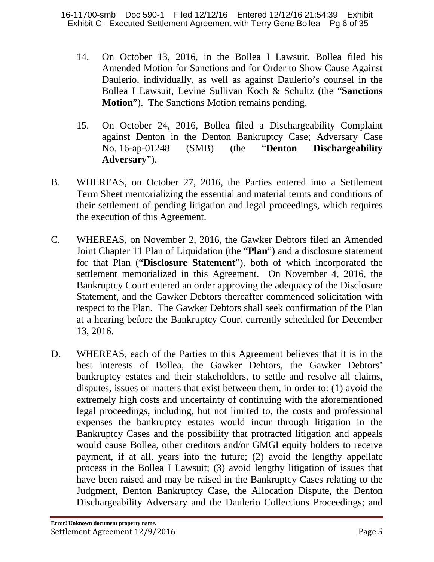- 14. On October 13, 2016, in the Bollea I Lawsuit, Bollea filed his Amended Motion for Sanctions and for Order to Show Cause Against Daulerio, individually, as well as against Daulerio's counsel in the Bollea I Lawsuit, Levine Sullivan Koch & Schultz (the "**Sanctions Motion**"). The Sanctions Motion remains pending.
- 15. On October 24, 2016, Bollea filed a Dischargeability Complaint against Denton in the Denton Bankruptcy Case; Adversary Case No. 16-ap-01248 (SMB) (the "**Denton Dischargeability Adversary**").
- B. WHEREAS, on October 27, 2016, the Parties entered into a Settlement Term Sheet memorializing the essential and material terms and conditions of their settlement of pending litigation and legal proceedings, which requires the execution of this Agreement.
- C. WHEREAS, on November 2, 2016, the Gawker Debtors filed an Amended Joint Chapter 11 Plan of Liquidation (the "**Plan**") and a disclosure statement for that Plan ("**Disclosure Statement**"), both of which incorporated the settlement memorialized in this Agreement. On November 4, 2016, the Bankruptcy Court entered an order approving the adequacy of the Disclosure Statement, and the Gawker Debtors thereafter commenced solicitation with respect to the Plan. The Gawker Debtors shall seek confirmation of the Plan at a hearing before the Bankruptcy Court currently scheduled for December 13, 2016.
- D. WHEREAS, each of the Parties to this Agreement believes that it is in the best interests of Bollea, the Gawker Debtors, the Gawker Debtors' bankruptcy estates and their stakeholders, to settle and resolve all claims, disputes, issues or matters that exist between them, in order to: (1) avoid the extremely high costs and uncertainty of continuing with the aforementioned legal proceedings, including, but not limited to, the costs and professional expenses the bankruptcy estates would incur through litigation in the Bankruptcy Cases and the possibility that protracted litigation and appeals would cause Bollea, other creditors and/or GMGI equity holders to receive payment, if at all, years into the future; (2) avoid the lengthy appellate process in the Bollea I Lawsuit; (3) avoid lengthy litigation of issues that have been raised and may be raised in the Bankruptcy Cases relating to the Judgment, Denton Bankruptcy Case, the Allocation Dispute, the Denton Dischargeability Adversary and the Daulerio Collections Proceedings; and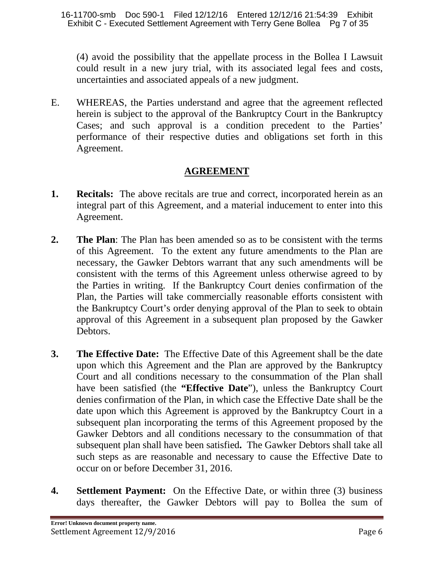(4) avoid the possibility that the appellate process in the Bollea I Lawsuit could result in a new jury trial, with its associated legal fees and costs, uncertainties and associated appeals of a new judgment.

E. WHEREAS, the Parties understand and agree that the agreement reflected herein is subject to the approval of the Bankruptcy Court in the Bankruptcy Cases; and such approval is a condition precedent to the Parties' performance of their respective duties and obligations set forth in this Agreement.

# **AGREEMENT**

- **1. Recitals:** The above recitals are true and correct, incorporated herein as an integral part of this Agreement, and a material inducement to enter into this Agreement.
- **2. The Plan**: The Plan has been amended so as to be consistent with the terms of this Agreement. To the extent any future amendments to the Plan are necessary, the Gawker Debtors warrant that any such amendments will be consistent with the terms of this Agreement unless otherwise agreed to by the Parties in writing. If the Bankruptcy Court denies confirmation of the Plan, the Parties will take commercially reasonable efforts consistent with the Bankruptcy Court's order denying approval of the Plan to seek to obtain approval of this Agreement in a subsequent plan proposed by the Gawker Debtors.
- **3. The Effective Date:** The Effective Date of this Agreement shall be the date upon which this Agreement and the Plan are approved by the Bankruptcy Court and all conditions necessary to the consummation of the Plan shall have been satisfied (the **"Effective Date**"), unless the Bankruptcy Court denies confirmation of the Plan, in which case the Effective Date shall be the date upon which this Agreement is approved by the Bankruptcy Court in a subsequent plan incorporating the terms of this Agreement proposed by the Gawker Debtors and all conditions necessary to the consummation of that subsequent plan shall have been satisfied**.** The Gawker Debtors shall take all such steps as are reasonable and necessary to cause the Effective Date to occur on or before December 31, 2016.
- **4. Settlement Payment:** On the Effective Date, or within three (3) business days thereafter, the Gawker Debtors will pay to Bollea the sum of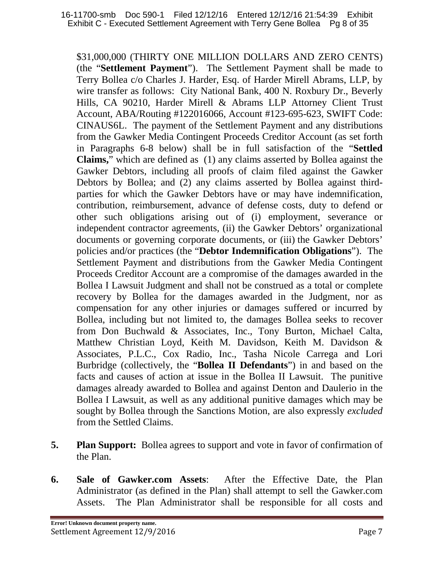\$31,000,000 (THIRTY ONE MILLION DOLLARS AND ZERO CENTS) (the "**Settlement Payment**"). The Settlement Payment shall be made to Terry Bollea c/o Charles J. Harder, Esq. of Harder Mirell Abrams, LLP, by wire transfer as follows: City National Bank, 400 N. Roxbury Dr., Beverly Hills, CA 90210, Harder Mirell & Abrams LLP Attorney Client Trust Account, ABA/Routing #122016066, Account #123-695-623, SWIFT Code: CINAUS6L. The payment of the Settlement Payment and any distributions from the Gawker Media Contingent Proceeds Creditor Account (as set forth in Paragraphs 6-8 below) shall be in full satisfaction of the "**Settled Claims,**" which are defined as (1) any claims asserted by Bollea against the Gawker Debtors, including all proofs of claim filed against the Gawker Debtors by Bollea; and (2) any claims asserted by Bollea against thirdparties for which the Gawker Debtors have or may have indemnification, contribution, reimbursement, advance of defense costs, duty to defend or other such obligations arising out of (i) employment, severance or independent contractor agreements, (ii) the Gawker Debtors' organizational documents or governing corporate documents, or (iii) the Gawker Debtors' policies and/or practices (the "**Debtor Indemnification Obligations**"). The Settlement Payment and distributions from the Gawker Media Contingent Proceeds Creditor Account are a compromise of the damages awarded in the Bollea I Lawsuit Judgment and shall not be construed as a total or complete recovery by Bollea for the damages awarded in the Judgment, nor as compensation for any other injuries or damages suffered or incurred by Bollea, including but not limited to, the damages Bollea seeks to recover from Don Buchwald & Associates, Inc., Tony Burton, Michael Calta, Matthew Christian Loyd, Keith M. Davidson, Keith M. Davidson & Associates, P.L.C., Cox Radio, Inc., Tasha Nicole Carrega and Lori Burbridge (collectively, the "**Bollea II Defendants**") in and based on the facts and causes of action at issue in the Bollea II Lawsuit. The punitive damages already awarded to Bollea and against Denton and Daulerio in the Bollea I Lawsuit, as well as any additional punitive damages which may be sought by Bollea through the Sanctions Motion, are also expressly *excluded* from the Settled Claims.

- **5. Plan Support:** Bollea agrees to support and vote in favor of confirmation of the Plan.
- **6. Sale of Gawker.com Assets**: After the Effective Date, the Plan Administrator (as defined in the Plan) shall attempt to sell the Gawker.com Assets. The Plan Administrator shall be responsible for all costs and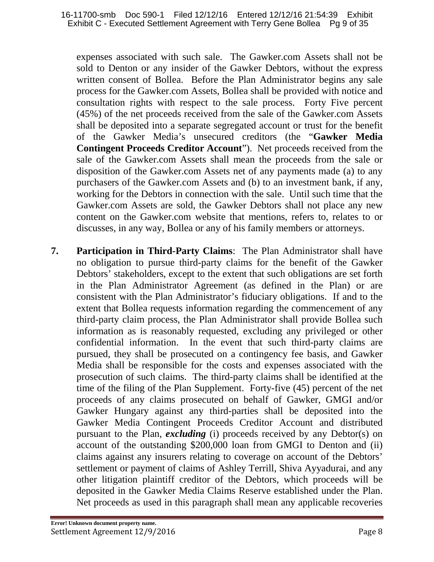expenses associated with such sale. The Gawker.com Assets shall not be sold to Denton or any insider of the Gawker Debtors, without the express written consent of Bollea. Before the Plan Administrator begins any sale process for the Gawker.com Assets, Bollea shall be provided with notice and consultation rights with respect to the sale process. Forty Five percent (45%) of the net proceeds received from the sale of the Gawker.com Assets shall be deposited into a separate segregated account or trust for the benefit of the Gawker Media's unsecured creditors (the "**Gawker Media Contingent Proceeds Creditor Account**"). Net proceeds received from the sale of the Gawker.com Assets shall mean the proceeds from the sale or disposition of the Gawker.com Assets net of any payments made (a) to any purchasers of the Gawker.com Assets and (b) to an investment bank, if any, working for the Debtors in connection with the sale. Until such time that the Gawker.com Assets are sold, the Gawker Debtors shall not place any new content on the Gawker.com website that mentions, refers to, relates to or discusses, in any way, Bollea or any of his family members or attorneys.

**7. Participation in Third-Party Claims**: The Plan Administrator shall have no obligation to pursue third-party claims for the benefit of the Gawker Debtors' stakeholders, except to the extent that such obligations are set forth in the Plan Administrator Agreement (as defined in the Plan) or are consistent with the Plan Administrator's fiduciary obligations. If and to the extent that Bollea requests information regarding the commencement of any third-party claim process, the Plan Administrator shall provide Bollea such information as is reasonably requested, excluding any privileged or other confidential information. In the event that such third-party claims are pursued, they shall be prosecuted on a contingency fee basis, and Gawker Media shall be responsible for the costs and expenses associated with the prosecution of such claims. The third-party claims shall be identified at the time of the filing of the Plan Supplement. Forty-five (45) percent of the net proceeds of any claims prosecuted on behalf of Gawker, GMGI and/or Gawker Hungary against any third-parties shall be deposited into the Gawker Media Contingent Proceeds Creditor Account and distributed pursuant to the Plan, *excluding* (i) proceeds received by any Debtor(s) on account of the outstanding \$200,000 loan from GMGI to Denton and (ii) claims against any insurers relating to coverage on account of the Debtors' settlement or payment of claims of Ashley Terrill, Shiva Ayyadurai, and any other litigation plaintiff creditor of the Debtors, which proceeds will be deposited in the Gawker Media Claims Reserve established under the Plan. Net proceeds as used in this paragraph shall mean any applicable recoveries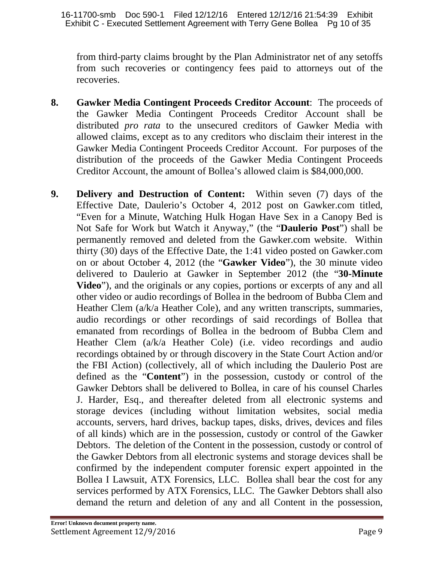from third-party claims brought by the Plan Administrator net of any setoffs from such recoveries or contingency fees paid to attorneys out of the recoveries.

- **8. Gawker Media Contingent Proceeds Creditor Account**: The proceeds of the Gawker Media Contingent Proceeds Creditor Account shall be distributed *pro rata* to the unsecured creditors of Gawker Media with allowed claims, except as to any creditors who disclaim their interest in the Gawker Media Contingent Proceeds Creditor Account. For purposes of the distribution of the proceeds of the Gawker Media Contingent Proceeds Creditor Account, the amount of Bollea's allowed claim is \$84,000,000.
- **9. Delivery and Destruction of Content:** Within seven (7) days of the Effective Date, Daulerio's October 4, 2012 post on Gawker.com titled, "Even for a Minute, Watching Hulk Hogan Have Sex in a Canopy Bed is Not Safe for Work but Watch it Anyway," (the "**Daulerio Post**") shall be permanently removed and deleted from the Gawker.com website. Within thirty (30) days of the Effective Date, the 1:41 video posted on Gawker.com on or about October 4, 2012 (the "**Gawker Video**"), the 30 minute video delivered to Daulerio at Gawker in September 2012 (the "**30-Minute Video**"), and the originals or any copies, portions or excerpts of any and all other video or audio recordings of Bollea in the bedroom of Bubba Clem and Heather Clem (a/k/a Heather Cole), and any written transcripts, summaries, audio recordings or other recordings of said recordings of Bollea that emanated from recordings of Bollea in the bedroom of Bubba Clem and Heather Clem (a/k/a Heather Cole) (i.e. video recordings and audio recordings obtained by or through discovery in the State Court Action and/or the FBI Action) (collectively, all of which including the Daulerio Post are defined as the "**Content**") in the possession, custody or control of the Gawker Debtors shall be delivered to Bollea, in care of his counsel Charles J. Harder, Esq., and thereafter deleted from all electronic systems and storage devices (including without limitation websites, social media accounts, servers, hard drives, backup tapes, disks, drives, devices and files of all kinds) which are in the possession, custody or control of the Gawker Debtors. The deletion of the Content in the possession, custody or control of the Gawker Debtors from all electronic systems and storage devices shall be confirmed by the independent computer forensic expert appointed in the Bollea I Lawsuit, ATX Forensics, LLC. Bollea shall bear the cost for any services performed by ATX Forensics, LLC. The Gawker Debtors shall also demand the return and deletion of any and all Content in the possession,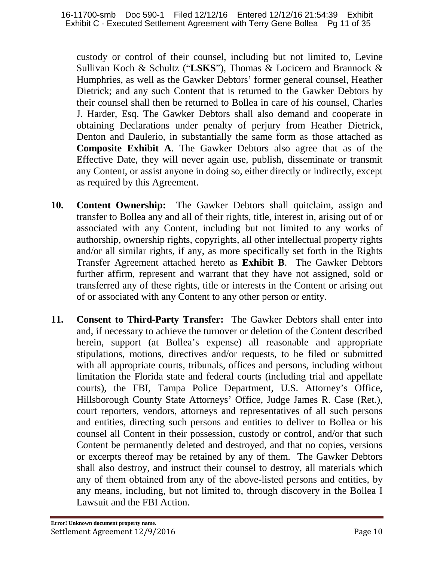custody or control of their counsel, including but not limited to, Levine Sullivan Koch & Schultz ("**LSKS**"), Thomas & Locicero and Brannock & Humphries, as well as the Gawker Debtors' former general counsel, Heather Dietrick; and any such Content that is returned to the Gawker Debtors by their counsel shall then be returned to Bollea in care of his counsel, Charles J. Harder, Esq. The Gawker Debtors shall also demand and cooperate in obtaining Declarations under penalty of perjury from Heather Dietrick, Denton and Daulerio, in substantially the same form as those attached as **Composite Exhibit A**. The Gawker Debtors also agree that as of the Effective Date, they will never again use, publish, disseminate or transmit any Content, or assist anyone in doing so, either directly or indirectly, except as required by this Agreement.

- **10. Content Ownership:** The Gawker Debtors shall quitclaim, assign and transfer to Bollea any and all of their rights, title, interest in, arising out of or associated with any Content, including but not limited to any works of authorship, ownership rights, copyrights, all other intellectual property rights and/or all similar rights, if any, as more specifically set forth in the Rights Transfer Agreement attached hereto as **Exhibit B**. The Gawker Debtors further affirm, represent and warrant that they have not assigned, sold or transferred any of these rights, title or interests in the Content or arising out of or associated with any Content to any other person or entity.
- **11. Consent to Third-Party Transfer:** The Gawker Debtors shall enter into and, if necessary to achieve the turnover or deletion of the Content described herein, support (at Bollea's expense) all reasonable and appropriate stipulations, motions, directives and/or requests, to be filed or submitted with all appropriate courts, tribunals, offices and persons, including without limitation the Florida state and federal courts (including trial and appellate courts), the FBI, Tampa Police Department, U.S. Attorney's Office, Hillsborough County State Attorneys' Office, Judge James R. Case (Ret.), court reporters, vendors, attorneys and representatives of all such persons and entities, directing such persons and entities to deliver to Bollea or his counsel all Content in their possession, custody or control, and/or that such Content be permanently deleted and destroyed, and that no copies, versions or excerpts thereof may be retained by any of them. The Gawker Debtors shall also destroy, and instruct their counsel to destroy, all materials which any of them obtained from any of the above-listed persons and entities, by any means, including, but not limited to, through discovery in the Bollea I Lawsuit and the FBI Action.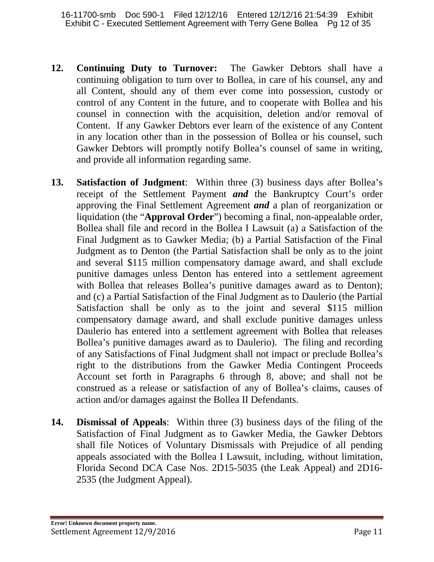- **12. Continuing Duty to Turnover:** The Gawker Debtors shall have a continuing obligation to turn over to Bollea, in care of his counsel, any and all Content, should any of them ever come into possession, custody or control of any Content in the future, and to cooperate with Bollea and his counsel in connection with the acquisition, deletion and/or removal of Content. If any Gawker Debtors ever learn of the existence of any Content in any location other than in the possession of Bollea or his counsel, such Gawker Debtors will promptly notify Bollea's counsel of same in writing, and provide all information regarding same.
- **13. Satisfaction of Judgment**: Within three (3) business days after Bollea's receipt of the Settlement Payment *and* the Bankruptcy Court's order approving the Final Settlement Agreement *and* a plan of reorganization or liquidation (the "**Approval Order**") becoming a final, non-appealable order, Bollea shall file and record in the Bollea I Lawsuit (a) a Satisfaction of the Final Judgment as to Gawker Media; (b) a Partial Satisfaction of the Final Judgment as to Denton (the Partial Satisfaction shall be only as to the joint and several \$115 million compensatory damage award, and shall exclude punitive damages unless Denton has entered into a settlement agreement with Bollea that releases Bollea's punitive damages award as to Denton); and (c) a Partial Satisfaction of the Final Judgment as to Daulerio (the Partial Satisfaction shall be only as to the joint and several \$115 million compensatory damage award, and shall exclude punitive damages unless Daulerio has entered into a settlement agreement with Bollea that releases Bollea's punitive damages award as to Daulerio). The filing and recording of any Satisfactions of Final Judgment shall not impact or preclude Bollea's right to the distributions from the Gawker Media Contingent Proceeds Account set forth in Paragraphs 6 through 8, above; and shall not be construed as a release or satisfaction of any of Bollea's claims, causes of action and/or damages against the Bollea II Defendants.
- **14. Dismissal of Appeals**: Within three (3) business days of the filing of the Satisfaction of Final Judgment as to Gawker Media, the Gawker Debtors shall file Notices of Voluntary Dismissals with Prejudice of all pending appeals associated with the Bollea I Lawsuit, including, without limitation, Florida Second DCA Case Nos. 2D15-5035 (the Leak Appeal) and 2D16- 2535 (the Judgment Appeal).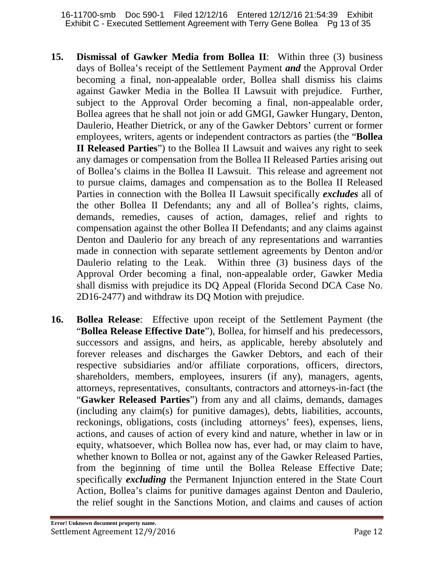- **15. Dismissal of Gawker Media from Bollea II**: Within three (3) business days of Bollea's receipt of the Settlement Payment *and* the Approval Order becoming a final, non-appealable order, Bollea shall dismiss his claims against Gawker Media in the Bollea II Lawsuit with prejudice. Further, subject to the Approval Order becoming a final, non-appealable order, Bollea agrees that he shall not join or add GMGI, Gawker Hungary, Denton, Daulerio, Heather Dietrick, or any of the Gawker Debtors' current or former employees, writers, agents or independent contractors as parties (the "**Bollea II Released Parties**") to the Bollea II Lawsuit and waives any right to seek any damages or compensation from the Bollea II Released Parties arising out of Bollea's claims in the Bollea II Lawsuit. This release and agreement not to pursue claims, damages and compensation as to the Bollea II Released Parties in connection with the Bollea II Lawsuit specifically *excludes* all of the other Bollea II Defendants; any and all of Bollea's rights, claims, demands, remedies, causes of action, damages, relief and rights to compensation against the other Bollea II Defendants; and any claims against Denton and Daulerio for any breach of any representations and warranties made in connection with separate settlement agreements by Denton and/or Daulerio relating to the Leak. Within three (3) business days of the Approval Order becoming a final, non-appealable order, Gawker Media shall dismiss with prejudice its DQ Appeal (Florida Second DCA Case No. 2D16-2477) and withdraw its DQ Motion with prejudice.
- **16. Bollea Release**: Effective upon receipt of the Settlement Payment (the "**Bollea Release Effective Date**"), Bollea, for himself and his predecessors, successors and assigns, and heirs, as applicable, hereby absolutely and forever releases and discharges the Gawker Debtors, and each of their respective subsidiaries and/or affiliate corporations, officers, directors, shareholders, members, employees, insurers (if any), managers, agents, attorneys, representatives, consultants, contractors and attorneys-in-fact (the "**Gawker Released Parties**") from any and all claims, demands, damages (including any claim(s) for punitive damages), debts, liabilities, accounts, reckonings, obligations, costs (including attorneys' fees), expenses, liens, actions, and causes of action of every kind and nature, whether in law or in equity, whatsoever, which Bollea now has, ever had, or may claim to have, whether known to Bollea or not, against any of the Gawker Released Parties, from the beginning of time until the Bollea Release Effective Date; specifically *excluding* the Permanent Injunction entered in the State Court Action, Bollea's claims for punitive damages against Denton and Daulerio, the relief sought in the Sanctions Motion, and claims and causes of action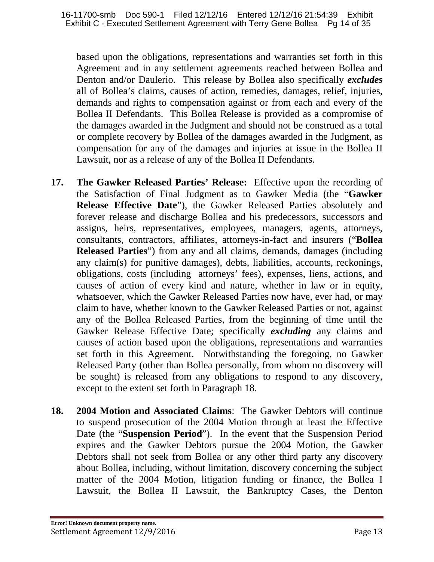based upon the obligations, representations and warranties set forth in this Agreement and in any settlement agreements reached between Bollea and Denton and/or Daulerio. This release by Bollea also specifically *excludes* all of Bollea's claims, causes of action, remedies, damages, relief, injuries, demands and rights to compensation against or from each and every of the Bollea II Defendants. This Bollea Release is provided as a compromise of the damages awarded in the Judgment and should not be construed as a total or complete recovery by Bollea of the damages awarded in the Judgment, as compensation for any of the damages and injuries at issue in the Bollea II Lawsuit, nor as a release of any of the Bollea II Defendants.

- **17. The Gawker Released Parties' Release:** Effective upon the recording of the Satisfaction of Final Judgment as to Gawker Media (the "**Gawker Release Effective Date**"), the Gawker Released Parties absolutely and forever release and discharge Bollea and his predecessors, successors and assigns, heirs, representatives, employees, managers, agents, attorneys, consultants, contractors, affiliates, attorneys-in-fact and insurers ("**Bollea Released Parties**") from any and all claims, demands, damages (including any claim(s) for punitive damages), debts, liabilities, accounts, reckonings, obligations, costs (including attorneys' fees), expenses, liens, actions, and causes of action of every kind and nature, whether in law or in equity, whatsoever, which the Gawker Released Parties now have, ever had, or may claim to have, whether known to the Gawker Released Parties or not, against any of the Bollea Released Parties, from the beginning of time until the Gawker Release Effective Date; specifically *excluding* any claims and causes of action based upon the obligations, representations and warranties set forth in this Agreement. Notwithstanding the foregoing, no Gawker Released Party (other than Bollea personally, from whom no discovery will be sought) is released from any obligations to respond to any discovery, except to the extent set forth in Paragraph 18.
- **18. 2004 Motion and Associated Claims**: The Gawker Debtors will continue to suspend prosecution of the 2004 Motion through at least the Effective Date (the "**Suspension Period**"). In the event that the Suspension Period expires and the Gawker Debtors pursue the 2004 Motion, the Gawker Debtors shall not seek from Bollea or any other third party any discovery about Bollea, including, without limitation, discovery concerning the subject matter of the 2004 Motion, litigation funding or finance, the Bollea I Lawsuit, the Bollea II Lawsuit, the Bankruptcy Cases, the Denton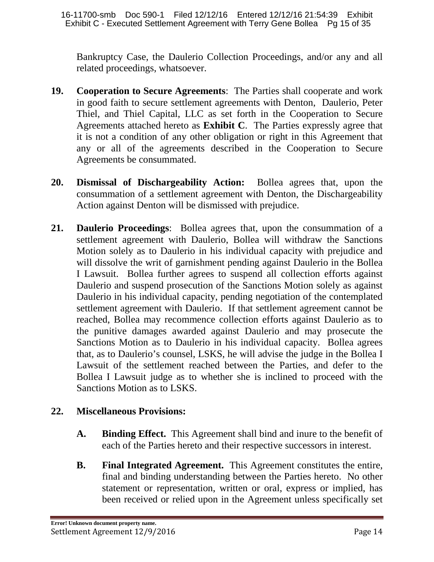Bankruptcy Case, the Daulerio Collection Proceedings, and/or any and all related proceedings, whatsoever.

- **19. Cooperation to Secure Agreements**: The Parties shall cooperate and work in good faith to secure settlement agreements with Denton, Daulerio, Peter Thiel, and Thiel Capital, LLC as set forth in the Cooperation to Secure Agreements attached hereto as **Exhibit C**. The Parties expressly agree that it is not a condition of any other obligation or right in this Agreement that any or all of the agreements described in the Cooperation to Secure Agreements be consummated.
- **20. Dismissal of Dischargeability Action:** Bollea agrees that, upon the consummation of a settlement agreement with Denton, the Dischargeability Action against Denton will be dismissed with prejudice.
- **21. Daulerio Proceedings**: Bollea agrees that, upon the consummation of a settlement agreement with Daulerio, Bollea will withdraw the Sanctions Motion solely as to Daulerio in his individual capacity with prejudice and will dissolve the writ of garnishment pending against Daulerio in the Bollea I Lawsuit. Bollea further agrees to suspend all collection efforts against Daulerio and suspend prosecution of the Sanctions Motion solely as against Daulerio in his individual capacity, pending negotiation of the contemplated settlement agreement with Daulerio. If that settlement agreement cannot be reached, Bollea may recommence collection efforts against Daulerio as to the punitive damages awarded against Daulerio and may prosecute the Sanctions Motion as to Daulerio in his individual capacity. Bollea agrees that, as to Daulerio's counsel, LSKS, he will advise the judge in the Bollea I Lawsuit of the settlement reached between the Parties, and defer to the Bollea I Lawsuit judge as to whether she is inclined to proceed with the Sanctions Motion as to LSKS.

# **22. Miscellaneous Provisions:**

- **A. Binding Effect.** This Agreement shall bind and inure to the benefit of each of the Parties hereto and their respective successors in interest.
- **B. Final Integrated Agreement.** This Agreement constitutes the entire, final and binding understanding between the Parties hereto. No other statement or representation, written or oral, express or implied, has been received or relied upon in the Agreement unless specifically set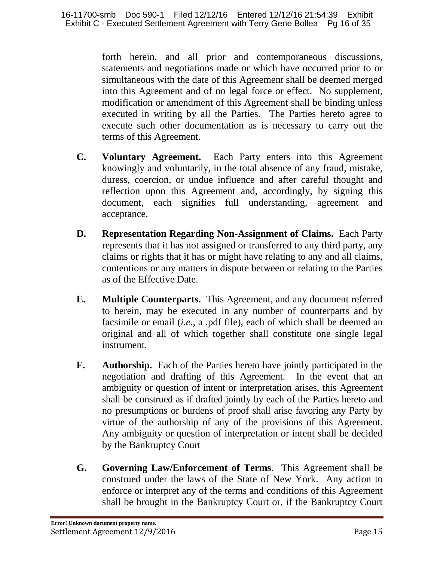forth herein, and all prior and contemporaneous discussions, statements and negotiations made or which have occurred prior to or simultaneous with the date of this Agreement shall be deemed merged into this Agreement and of no legal force or effect. No supplement, modification or amendment of this Agreement shall be binding unless executed in writing by all the Parties. The Parties hereto agree to execute such other documentation as is necessary to carry out the terms of this Agreement.

- **C. Voluntary Agreement.** Each Party enters into this Agreement knowingly and voluntarily, in the total absence of any fraud, mistake, duress, coercion, or undue influence and after careful thought and reflection upon this Agreement and, accordingly, by signing this document, each signifies full understanding, agreement and acceptance.
- **D. Representation Regarding Non-Assignment of Claims.** Each Party represents that it has not assigned or transferred to any third party, any claims or rights that it has or might have relating to any and all claims, contentions or any matters in dispute between or relating to the Parties as of the Effective Date.
- **E. Multiple Counterparts.** This Agreement, and any document referred to herein, may be executed in any number of counterparts and by facsimile or email (*i.e*., a .pdf file), each of which shall be deemed an original and all of which together shall constitute one single legal instrument.
- **F. Authorship.** Each of the Parties hereto have jointly participated in the negotiation and drafting of this Agreement. In the event that an ambiguity or question of intent or interpretation arises, this Agreement shall be construed as if drafted jointly by each of the Parties hereto and no presumptions or burdens of proof shall arise favoring any Party by virtue of the authorship of any of the provisions of this Agreement. Any ambiguity or question of interpretation or intent shall be decided by the Bankruptcy Court
- **G. Governing Law/Enforcement of Terms**. This Agreement shall be construed under the laws of the State of New York. Any action to enforce or interpret any of the terms and conditions of this Agreement shall be brought in the Bankruptcy Court or, if the Bankruptcy Court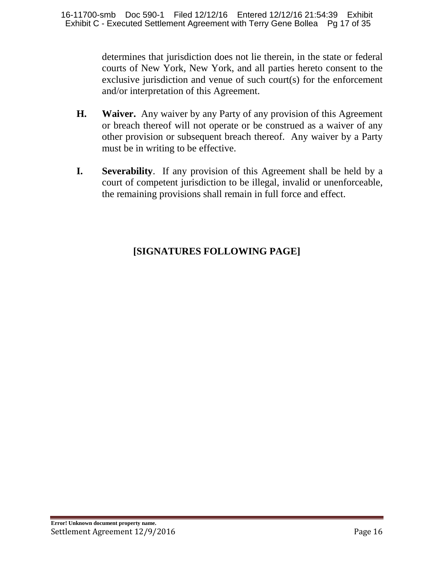determines that jurisdiction does not lie therein, in the state or federal courts of New York, New York, and all parties hereto consent to the exclusive jurisdiction and venue of such court(s) for the enforcement and/or interpretation of this Agreement.

- **H. Waiver.** Any waiver by any Party of any provision of this Agreement or breach thereof will not operate or be construed as a waiver of any other provision or subsequent breach thereof. Any waiver by a Party must be in writing to be effective.
- **I. Severability**. If any provision of this Agreement shall be held by a court of competent jurisdiction to be illegal, invalid or unenforceable, the remaining provisions shall remain in full force and effect.

# **[SIGNATURES FOLLOWING PAGE]**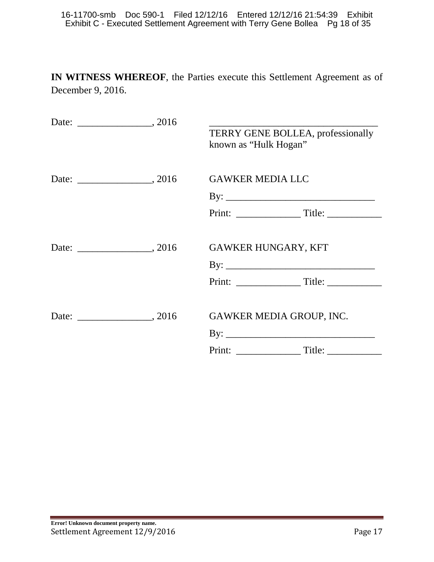**IN WITNESS WHEREOF**, the Parties execute this Settlement Agreement as of December 9, 2016.

|  | TERRY GENE BOLLEA, professionally<br>known as "Hulk Hogan" |
|--|------------------------------------------------------------|
|  | <b>GAWKER MEDIA LLC</b>                                    |
|  |                                                            |
|  |                                                            |
|  | <b>GAWKER HUNGARY, KFT</b>                                 |
|  |                                                            |
|  |                                                            |
|  | <b>GAWKER MEDIA GROUP, INC.</b>                            |
|  |                                                            |
|  | Print: Title:                                              |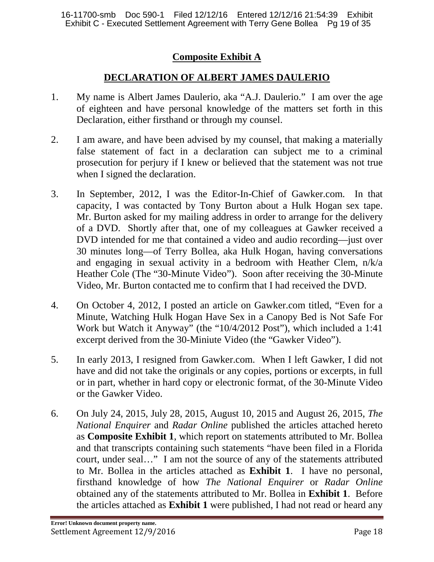# **Composite Exhibit A**

# **DECLARATION OF ALBERT JAMES DAULERIO**

- 1. My name is Albert James Daulerio, aka "A.J. Daulerio." I am over the age of eighteen and have personal knowledge of the matters set forth in this Declaration, either firsthand or through my counsel.
- 2. I am aware, and have been advised by my counsel, that making a materially false statement of fact in a declaration can subject me to a criminal prosecution for perjury if I knew or believed that the statement was not true when I signed the declaration.
- 3. In September, 2012, I was the Editor-In-Chief of Gawker.com. In that capacity, I was contacted by Tony Burton about a Hulk Hogan sex tape. Mr. Burton asked for my mailing address in order to arrange for the delivery of a DVD. Shortly after that, one of my colleagues at Gawker received a DVD intended for me that contained a video and audio recording—just over 30 minutes long—of Terry Bollea, aka Hulk Hogan, having conversations and engaging in sexual activity in a bedroom with Heather Clem, n/k/a Heather Cole (The "30-Minute Video"). Soon after receiving the 30-Minute Video, Mr. Burton contacted me to confirm that I had received the DVD.
- 4. On October 4, 2012, I posted an article on Gawker.com titled, "Even for a Minute, Watching Hulk Hogan Have Sex in a Canopy Bed is Not Safe For Work but Watch it Anyway" (the "10/4/2012 Post"), which included a 1:41 excerpt derived from the 30-Miniute Video (the "Gawker Video").
- 5. In early 2013, I resigned from Gawker.com. When I left Gawker, I did not have and did not take the originals or any copies, portions or excerpts, in full or in part, whether in hard copy or electronic format, of the 30-Minute Video or the Gawker Video.
- 6. On July 24, 2015, July 28, 2015, August 10, 2015 and August 26, 2015, *The National Enquirer* and *Radar Online* published the articles attached hereto as **Composite Exhibit 1**, which report on statements attributed to Mr. Bollea and that transcripts containing such statements "have been filed in a Florida court, under seal…" I am not the source of any of the statements attributed to Mr. Bollea in the articles attached as **Exhibit 1**. I have no personal, firsthand knowledge of how *The National Enquirer* or *Radar Online* obtained any of the statements attributed to Mr. Bollea in **Exhibit 1**. Before the articles attached as **Exhibit 1** were published, I had not read or heard any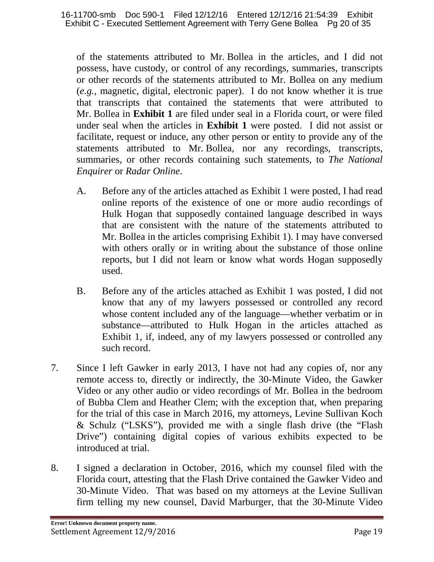of the statements attributed to Mr. Bollea in the articles, and I did not possess, have custody, or control of any recordings, summaries, transcripts or other records of the statements attributed to Mr. Bollea on any medium (*e.g.,* magnetic, digital, electronic paper). I do not know whether it is true that transcripts that contained the statements that were attributed to Mr. Bollea in **Exhibit 1** are filed under seal in a Florida court, or were filed under seal when the articles in **Exhibit 1** were posted. I did not assist or facilitate, request or induce, any other person or entity to provide any of the statements attributed to Mr. Bollea, nor any recordings, transcripts, summaries, or other records containing such statements, to *The National Enquirer* or *Radar Online*.

- A. Before any of the articles attached as Exhibit 1 were posted, I had read online reports of the existence of one or more audio recordings of Hulk Hogan that supposedly contained language described in ways that are consistent with the nature of the statements attributed to Mr. Bollea in the articles comprising Exhibit 1). I may have conversed with others orally or in writing about the substance of those online reports, but I did not learn or know what words Hogan supposedly used.
- B. Before any of the articles attached as Exhibit 1 was posted, I did not know that any of my lawyers possessed or controlled any record whose content included any of the language—whether verbatim or in substance—attributed to Hulk Hogan in the articles attached as Exhibit 1, if, indeed, any of my lawyers possessed or controlled any such record.
- 7. Since I left Gawker in early 2013, I have not had any copies of, nor any remote access to, directly or indirectly, the 30-Minute Video, the Gawker Video or any other audio or video recordings of Mr. Bollea in the bedroom of Bubba Clem and Heather Clem; with the exception that, when preparing for the trial of this case in March 2016, my attorneys, Levine Sullivan Koch & Schulz ("LSKS"), provided me with a single flash drive (the "Flash Drive") containing digital copies of various exhibits expected to be introduced at trial.
- 8. I signed a declaration in October, 2016, which my counsel filed with the Florida court, attesting that the Flash Drive contained the Gawker Video and 30-Minute Video. That was based on my attorneys at the Levine Sullivan firm telling my new counsel, David Marburger, that the 30-Minute Video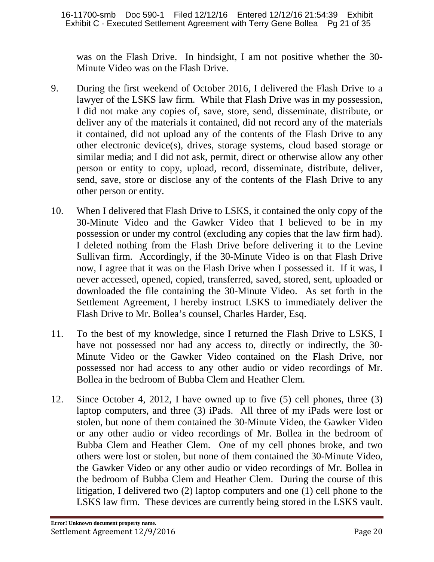was on the Flash Drive. In hindsight, I am not positive whether the 30- Minute Video was on the Flash Drive.

- 9. During the first weekend of October 2016, I delivered the Flash Drive to a lawyer of the LSKS law firm. While that Flash Drive was in my possession, I did not make any copies of, save, store, send, disseminate, distribute, or deliver any of the materials it contained, did not record any of the materials it contained, did not upload any of the contents of the Flash Drive to any other electronic device(s), drives, storage systems, cloud based storage or similar media; and I did not ask, permit, direct or otherwise allow any other person or entity to copy, upload, record, disseminate, distribute, deliver, send, save, store or disclose any of the contents of the Flash Drive to any other person or entity.
- 10. When I delivered that Flash Drive to LSKS, it contained the only copy of the 30-Minute Video and the Gawker Video that I believed to be in my possession or under my control (excluding any copies that the law firm had). I deleted nothing from the Flash Drive before delivering it to the Levine Sullivan firm. Accordingly, if the 30-Minute Video is on that Flash Drive now, I agree that it was on the Flash Drive when I possessed it. If it was, I never accessed, opened, copied, transferred, saved, stored, sent, uploaded or downloaded the file containing the 30-Minute Video. As set forth in the Settlement Agreement, I hereby instruct LSKS to immediately deliver the Flash Drive to Mr. Bollea's counsel, Charles Harder, Esq.
- 11. To the best of my knowledge, since I returned the Flash Drive to LSKS, I have not possessed nor had any access to, directly or indirectly, the 30- Minute Video or the Gawker Video contained on the Flash Drive, nor possessed nor had access to any other audio or video recordings of Mr. Bollea in the bedroom of Bubba Clem and Heather Clem.
- 12. Since October 4, 2012, I have owned up to five (5) cell phones, three (3) laptop computers, and three (3) iPads. All three of my iPads were lost or stolen, but none of them contained the 30-Minute Video, the Gawker Video or any other audio or video recordings of Mr. Bollea in the bedroom of Bubba Clem and Heather Clem. One of my cell phones broke, and two others were lost or stolen, but none of them contained the 30-Minute Video, the Gawker Video or any other audio or video recordings of Mr. Bollea in the bedroom of Bubba Clem and Heather Clem. During the course of this litigation, I delivered two (2) laptop computers and one (1) cell phone to the LSKS law firm. These devices are currently being stored in the LSKS vault.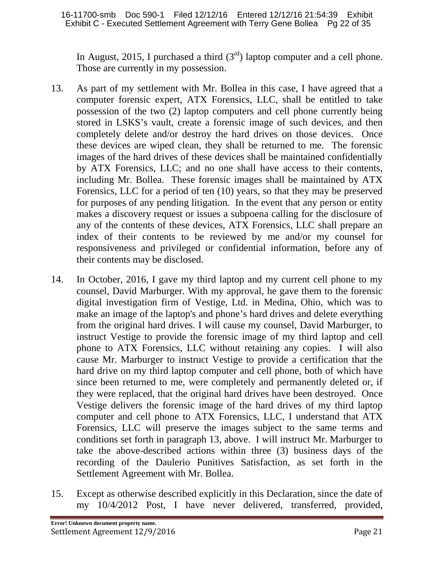In August, 2015, I purchased a third  $(3<sup>rd</sup>)$  laptop computer and a cell phone. Those are currently in my possession.

- 13. As part of my settlement with Mr. Bollea in this case, I have agreed that a computer forensic expert, ATX Forensics, LLC, shall be entitled to take possession of the two (2) laptop computers and cell phone currently being stored in LSKS's vault, create a forensic image of such devices, and then completely delete and/or destroy the hard drives on those devices. Once these devices are wiped clean, they shall be returned to me. The forensic images of the hard drives of these devices shall be maintained confidentially by ATX Forensics, LLC; and no one shall have access to their contents, including Mr. Bollea. These forensic images shall be maintained by ATX Forensics, LLC for a period of ten (10) years, so that they may be preserved for purposes of any pending litigation. In the event that any person or entity makes a discovery request or issues a subpoena calling for the disclosure of any of the contents of these devices, ATX Forensics, LLC shall prepare an index of their contents to be reviewed by me and/or my counsel for responsiveness and privileged or confidential information, before any of their contents may be disclosed.
- 14. In October, 2016, I gave my third laptop and my current cell phone to my counsel, David Marburger. With my approval, he gave them to the forensic digital investigation firm of Vestige, Ltd. in Medina, Ohio, which was to make an image of the laptop's and phone's hard drives and delete everything from the original hard drives. I will cause my counsel, David Marburger, to instruct Vestige to provide the forensic image of my third laptop and cell phone to ATX Forensics, LLC without retaining any copies. I will also cause Mr. Marburger to instruct Vestige to provide a certification that the hard drive on my third laptop computer and cell phone, both of which have since been returned to me, were completely and permanently deleted or, if they were replaced, that the original hard drives have been destroyed. Once Vestige delivers the forensic image of the hard drives of my third laptop computer and cell phone to ATX Forensics, LLC, I understand that ATX Forensics, LLC will preserve the images subject to the same terms and conditions set forth in paragraph 13, above. I will instruct Mr. Marburger to take the above-described actions within three (3) business days of the recording of the Daulerio Punitives Satisfaction, as set forth in the Settlement Agreement with Mr. Bollea.
- 15. Except as otherwise described explicitly in this Declaration, since the date of my 10/4/2012 Post, I have never delivered, transferred, provided,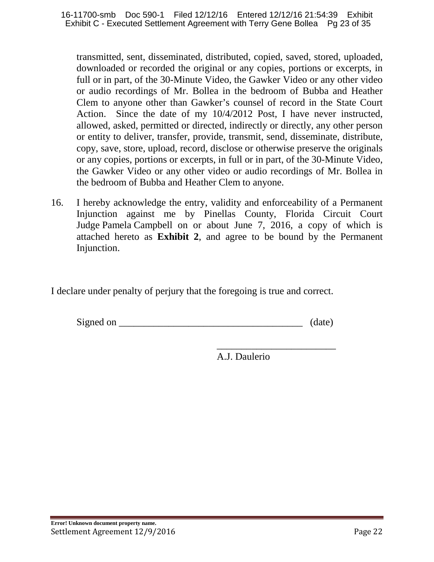transmitted, sent, disseminated, distributed, copied, saved, stored, uploaded, downloaded or recorded the original or any copies, portions or excerpts, in full or in part, of the 30-Minute Video, the Gawker Video or any other video or audio recordings of Mr. Bollea in the bedroom of Bubba and Heather Clem to anyone other than Gawker's counsel of record in the State Court Action. Since the date of my 10/4/2012 Post, I have never instructed, allowed, asked, permitted or directed, indirectly or directly, any other person or entity to deliver, transfer, provide, transmit, send, disseminate, distribute, copy, save, store, upload, record, disclose or otherwise preserve the originals or any copies, portions or excerpts, in full or in part, of the 30-Minute Video, the Gawker Video or any other video or audio recordings of Mr. Bollea in the bedroom of Bubba and Heather Clem to anyone.

16. I hereby acknowledge the entry, validity and enforceability of a Permanent Injunction against me by Pinellas County, Florida Circuit Court Judge Pamela Campbell on or about June 7, 2016, a copy of which is attached hereto as **Exhibit 2**, and agree to be bound by the Permanent Injunction.

I declare under penalty of perjury that the foregoing is true and correct.

| Signed<br>$\alpha$ |  |  |
|--------------------|--|--|
|--------------------|--|--|

\_\_\_\_\_\_\_\_\_\_\_\_\_\_\_\_\_\_\_\_\_\_\_\_ A.J. Daulerio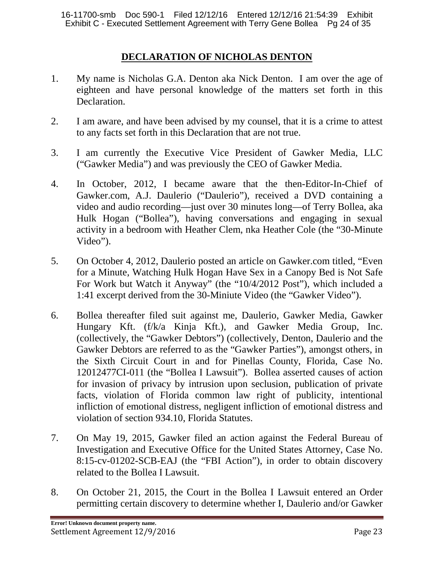## **DECLARATION OF NICHOLAS DENTON**

- 1. My name is Nicholas G.A. Denton aka Nick Denton. I am over the age of eighteen and have personal knowledge of the matters set forth in this Declaration.
- 2. I am aware, and have been advised by my counsel, that it is a crime to attest to any facts set forth in this Declaration that are not true.
- 3. I am currently the Executive Vice President of Gawker Media, LLC ("Gawker Media") and was previously the CEO of Gawker Media.
- 4. In October, 2012, I became aware that the then-Editor-In-Chief of Gawker.com, A.J. Daulerio ("Daulerio"), received a DVD containing a video and audio recording—just over 30 minutes long—of Terry Bollea, aka Hulk Hogan ("Bollea"), having conversations and engaging in sexual activity in a bedroom with Heather Clem, nka Heather Cole (the "30-Minute Video").
- 5. On October 4, 2012, Daulerio posted an article on Gawker.com titled, "Even for a Minute, Watching Hulk Hogan Have Sex in a Canopy Bed is Not Safe For Work but Watch it Anyway" (the "10/4/2012 Post"), which included a 1:41 excerpt derived from the 30-Miniute Video (the "Gawker Video").
- 6. Bollea thereafter filed suit against me, Daulerio, Gawker Media, Gawker Hungary Kft. (f/k/a Kinja Kft.), and Gawker Media Group, Inc. (collectively, the "Gawker Debtors") (collectively, Denton, Daulerio and the Gawker Debtors are referred to as the "Gawker Parties"), amongst others, in the Sixth Circuit Court in and for Pinellas County, Florida, Case No. 12012477CI-011 (the "Bollea I Lawsuit"). Bollea asserted causes of action for invasion of privacy by intrusion upon seclusion, publication of private facts, violation of Florida common law right of publicity, intentional infliction of emotional distress, negligent infliction of emotional distress and violation of section 934.10, Florida Statutes.
- 7. On May 19, 2015, Gawker filed an action against the Federal Bureau of Investigation and Executive Office for the United States Attorney, Case No. 8:15-cv-01202-SCB-EAJ (the "FBI Action"), in order to obtain discovery related to the Bollea I Lawsuit.
- 8. On October 21, 2015, the Court in the Bollea I Lawsuit entered an Order permitting certain discovery to determine whether I, Daulerio and/or Gawker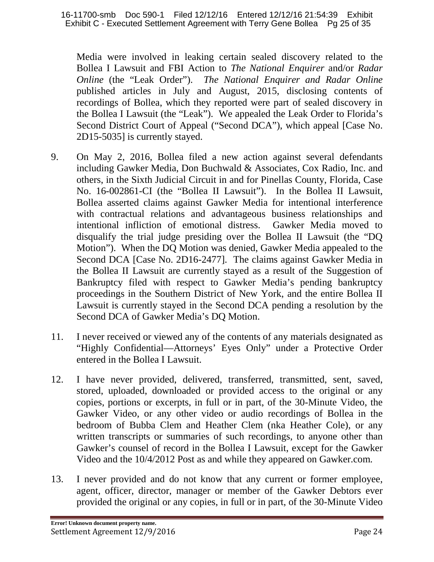Media were involved in leaking certain sealed discovery related to the Bollea I Lawsuit and FBI Action to *The National Enquirer* and/or *Radar Online* (the "Leak Order"). *The National Enquirer and Radar Online*  published articles in July and August, 2015, disclosing contents of recordings of Bollea, which they reported were part of sealed discovery in the Bollea I Lawsuit (the "Leak"). We appealed the Leak Order to Florida's Second District Court of Appeal ("Second DCA"), which appeal [Case No. 2D15-5035] is currently stayed.

- 9. On May 2, 2016, Bollea filed a new action against several defendants including Gawker Media, Don Buchwald & Associates, Cox Radio, Inc. and others, in the Sixth Judicial Circuit in and for Pinellas County, Florida, Case No. 16-002861-CI (the "Bollea II Lawsuit"). In the Bollea II Lawsuit, Bollea asserted claims against Gawker Media for intentional interference with contractual relations and advantageous business relationships and intentional infliction of emotional distress. Gawker Media moved to disqualify the trial judge presiding over the Bollea II Lawsuit (the "DQ Motion"). When the DQ Motion was denied, Gawker Media appealed to the Second DCA [Case No. 2D16-2477]. The claims against Gawker Media in the Bollea II Lawsuit are currently stayed as a result of the Suggestion of Bankruptcy filed with respect to Gawker Media's pending bankruptcy proceedings in the Southern District of New York, and the entire Bollea II Lawsuit is currently stayed in the Second DCA pending a resolution by the Second DCA of Gawker Media's DQ Motion.
- 11. I never received or viewed any of the contents of any materials designated as "Highly Confidential—Attorneys' Eyes Only" under a Protective Order entered in the Bollea I Lawsuit.
- 12. I have never provided, delivered, transferred, transmitted, sent, saved, stored, uploaded, downloaded or provided access to the original or any copies, portions or excerpts, in full or in part, of the 30-Minute Video, the Gawker Video, or any other video or audio recordings of Bollea in the bedroom of Bubba Clem and Heather Clem (nka Heather Cole), or any written transcripts or summaries of such recordings, to anyone other than Gawker's counsel of record in the Bollea I Lawsuit, except for the Gawker Video and the 10/4/2012 Post as and while they appeared on Gawker.com.
- 13. I never provided and do not know that any current or former employee, agent, officer, director, manager or member of the Gawker Debtors ever provided the original or any copies, in full or in part, of the 30-Minute Video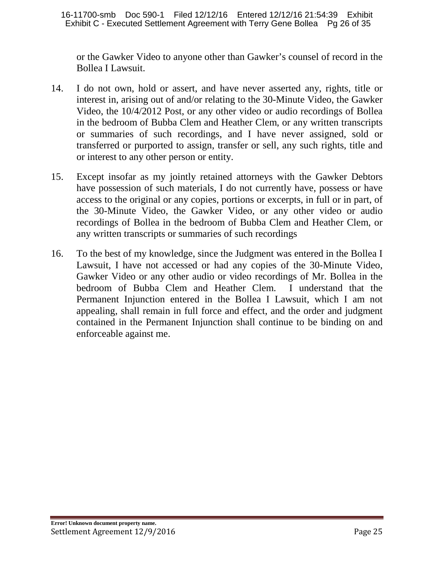or the Gawker Video to anyone other than Gawker's counsel of record in the Bollea I Lawsuit.

- 14. I do not own, hold or assert, and have never asserted any, rights, title or interest in, arising out of and/or relating to the 30-Minute Video, the Gawker Video, the 10/4/2012 Post, or any other video or audio recordings of Bollea in the bedroom of Bubba Clem and Heather Clem, or any written transcripts or summaries of such recordings, and I have never assigned, sold or transferred or purported to assign, transfer or sell, any such rights, title and or interest to any other person or entity.
- 15. Except insofar as my jointly retained attorneys with the Gawker Debtors have possession of such materials, I do not currently have, possess or have access to the original or any copies, portions or excerpts, in full or in part, of the 30-Minute Video, the Gawker Video, or any other video or audio recordings of Bollea in the bedroom of Bubba Clem and Heather Clem, or any written transcripts or summaries of such recordings
- 16. To the best of my knowledge, since the Judgment was entered in the Bollea I Lawsuit, I have not accessed or had any copies of the 30-Minute Video, Gawker Video or any other audio or video recordings of Mr. Bollea in the bedroom of Bubba Clem and Heather Clem. I understand that the Permanent Injunction entered in the Bollea I Lawsuit, which I am not appealing, shall remain in full force and effect, and the order and judgment contained in the Permanent Injunction shall continue to be binding on and enforceable against me.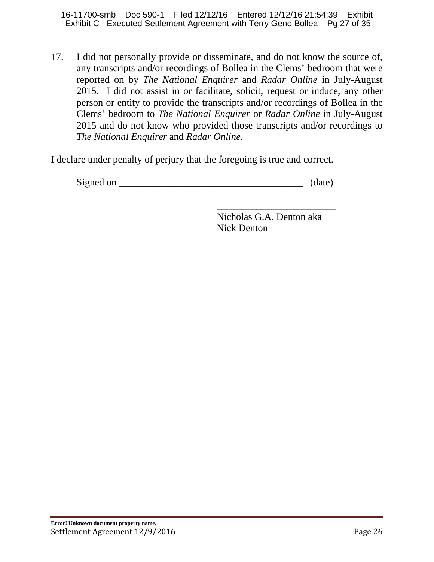16-11700-smb Doc 590-1 Filed 12/12/16 Entered 12/12/16 21:54:39 Exhibit Exhibit C - Executed Settlement Agreement with Terry Gene Bollea Pg 27 of 35

17. I did not personally provide or disseminate, and do not know the source of, any transcripts and/or recordings of Bollea in the Clems' bedroom that were reported on by *The National Enquirer* and *Radar Online* in July-August 2015. I did not assist in or facilitate, solicit, request or induce, any other person or entity to provide the transcripts and/or recordings of Bollea in the Clems' bedroom to *The National Enquirer* or *Radar Online* in July-August 2015 and do not know who provided those transcripts and/or recordings to *The National Enquirer* and *Radar Online*.

I declare under penalty of perjury that the foregoing is true and correct.

| Signed on |  |
|-----------|--|
|-----------|--|

\_\_\_\_\_\_\_\_\_\_\_\_\_\_\_\_\_\_\_\_\_\_\_\_ Nicholas G.A. Denton aka Nick Denton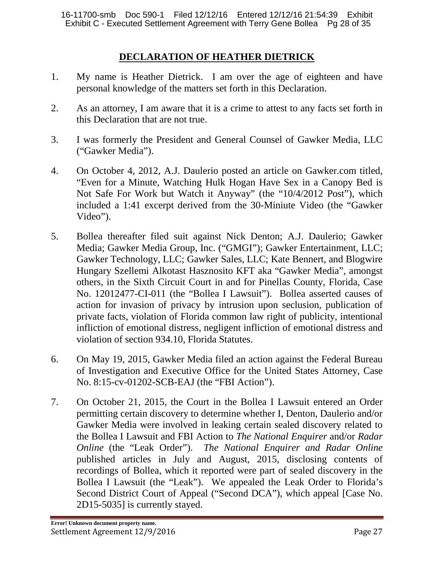# **DECLARATION OF HEATHER DIETRICK**

- 1. My name is Heather Dietrick. I am over the age of eighteen and have personal knowledge of the matters set forth in this Declaration.
- 2. As an attorney, I am aware that it is a crime to attest to any facts set forth in this Declaration that are not true.
- 3. I was formerly the President and General Counsel of Gawker Media, LLC ("Gawker Media").
- 4. On October 4, 2012, A.J. Daulerio posted an article on Gawker.com titled, "Even for a Minute, Watching Hulk Hogan Have Sex in a Canopy Bed is Not Safe For Work but Watch it Anyway" (the "10/4/2012 Post"), which included a 1:41 excerpt derived from the 30-Miniute Video (the "Gawker Video").
- 5. Bollea thereafter filed suit against Nick Denton; A.J. Daulerio; Gawker Media; Gawker Media Group, Inc. ("GMGI"); Gawker Entertainment, LLC; Gawker Technology, LLC; Gawker Sales, LLC; Kate Bennert, and Blogwire Hungary Szellemi Alkotast Hasznosito KFT aka "Gawker Media", amongst others, in the Sixth Circuit Court in and for Pinellas County, Florida, Case No. 12012477-CI-011 (the "Bollea I Lawsuit"). Bollea asserted causes of action for invasion of privacy by intrusion upon seclusion, publication of private facts, violation of Florida common law right of publicity, intentional infliction of emotional distress, negligent infliction of emotional distress and violation of section 934.10, Florida Statutes.
- 6. On May 19, 2015, Gawker Media filed an action against the Federal Bureau of Investigation and Executive Office for the United States Attorney, Case No. 8:15-cv-01202-SCB-EAJ (the "FBI Action").
- 7. On October 21, 2015, the Court in the Bollea I Lawsuit entered an Order permitting certain discovery to determine whether I, Denton, Daulerio and/or Gawker Media were involved in leaking certain sealed discovery related to the Bollea I Lawsuit and FBI Action to *The National Enquirer* and/or *Radar Online* (the "Leak Order"). *The National Enquirer and Radar Online*  published articles in July and August, 2015, disclosing contents of recordings of Bollea, which it reported were part of sealed discovery in the Bollea I Lawsuit (the "Leak"). We appealed the Leak Order to Florida's Second District Court of Appeal ("Second DCA"), which appeal [Case No. 2D15-5035] is currently stayed.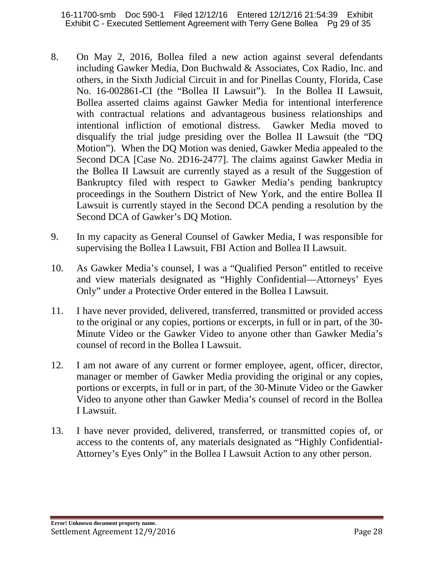- 8. On May 2, 2016, Bollea filed a new action against several defendants including Gawker Media, Don Buchwald & Associates, Cox Radio, Inc. and others, in the Sixth Judicial Circuit in and for Pinellas County, Florida, Case No. 16-002861-CI (the "Bollea II Lawsuit"). In the Bollea II Lawsuit, Bollea asserted claims against Gawker Media for intentional interference with contractual relations and advantageous business relationships and intentional infliction of emotional distress. Gawker Media moved to disqualify the trial judge presiding over the Bollea II Lawsuit (the "DQ Motion"). When the DQ Motion was denied, Gawker Media appealed to the Second DCA [Case No. 2D16-2477]. The claims against Gawker Media in the Bollea II Lawsuit are currently stayed as a result of the Suggestion of Bankruptcy filed with respect to Gawker Media's pending bankruptcy proceedings in the Southern District of New York, and the entire Bollea II Lawsuit is currently stayed in the Second DCA pending a resolution by the Second DCA of Gawker's DQ Motion.
- 9. In my capacity as General Counsel of Gawker Media, I was responsible for supervising the Bollea I Lawsuit, FBI Action and Bollea II Lawsuit.
- 10. As Gawker Media's counsel, I was a "Qualified Person" entitled to receive and view materials designated as "Highly Confidential—Attorneys' Eyes Only" under a Protective Order entered in the Bollea I Lawsuit.
- 11. I have never provided, delivered, transferred, transmitted or provided access to the original or any copies, portions or excerpts, in full or in part, of the 30- Minute Video or the Gawker Video to anyone other than Gawker Media's counsel of record in the Bollea I Lawsuit.
- 12. I am not aware of any current or former employee, agent, officer, director, manager or member of Gawker Media providing the original or any copies, portions or excerpts, in full or in part, of the 30-Minute Video or the Gawker Video to anyone other than Gawker Media's counsel of record in the Bollea I Lawsuit.
- 13. I have never provided, delivered, transferred, or transmitted copies of, or access to the contents of, any materials designated as "Highly Confidential-Attorney's Eyes Only" in the Bollea I Lawsuit Action to any other person.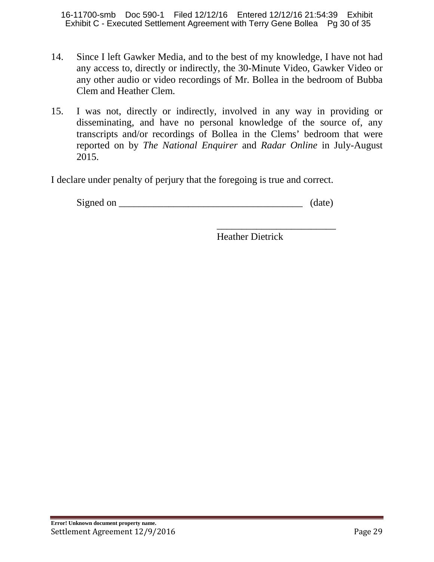16-11700-smb Doc 590-1 Filed 12/12/16 Entered 12/12/16 21:54:39 Exhibit Exhibit C - Executed Settlement Agreement with Terry Gene Bollea Pg 30 of 35

- 14. Since I left Gawker Media, and to the best of my knowledge, I have not had any access to, directly or indirectly, the 30-Minute Video, Gawker Video or any other audio or video recordings of Mr. Bollea in the bedroom of Bubba Clem and Heather Clem.
- 15. I was not, directly or indirectly, involved in any way in providing or disseminating, and have no personal knowledge of the source of, any transcripts and/or recordings of Bollea in the Clems' bedroom that were reported on by *The National Enquirer* and *Radar Online* in July-August 2015.

I declare under penalty of perjury that the foregoing is true and correct.

 $Signed on$   $(date)$ 

Heather Dietrick

\_\_\_\_\_\_\_\_\_\_\_\_\_\_\_\_\_\_\_\_\_\_\_\_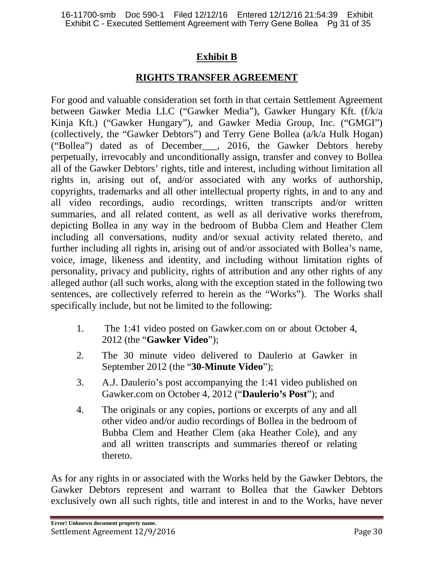# **Exhibit B**

# **RIGHTS TRANSFER AGREEMENT**

For good and valuable consideration set forth in that certain Settlement Agreement between Gawker Media LLC ("Gawker Media"), Gawker Hungary Kft. (f/k/a Kinja Kft.) ("Gawker Hungary"), and Gawker Media Group, Inc. ("GMGI") (collectively, the "Gawker Debtors") and Terry Gene Bollea (a/k/a Hulk Hogan) ("Bollea") dated as of December\_\_\_, 2016, the Gawker Debtors hereby perpetually, irrevocably and unconditionally assign, transfer and convey to Bollea all of the Gawker Debtors' rights, title and interest, including without limitation all rights in, arising out of, and/or associated with any works of authorship, copyrights, trademarks and all other intellectual property rights, in and to any and all video recordings, audio recordings, written transcripts and/or written summaries, and all related content, as well as all derivative works therefrom, depicting Bollea in any way in the bedroom of Bubba Clem and Heather Clem including all conversations, nudity and/or sexual activity related thereto, and further including all rights in, arising out of and/or associated with Bollea's name, voice, image, likeness and identity, and including without limitation rights of personality, privacy and publicity, rights of attribution and any other rights of any alleged author (all such works, along with the exception stated in the following two sentences, are collectively referred to herein as the "Works"). The Works shall specifically include, but not be limited to the following:

- 1. The 1:41 video posted on Gawker.com on or about October 4, 2012 (the "**Gawker Video**");
- 2. The 30 minute video delivered to Daulerio at Gawker in September 2012 (the "**30-Minute Video**");
- 3. A.J. Daulerio's post accompanying the 1:41 video published on Gawker.com on October 4, 2012 ("**Daulerio's Post**"); and
- 4. The originals or any copies, portions or excerpts of any and all other video and/or audio recordings of Bollea in the bedroom of Bubba Clem and Heather Clem (aka Heather Cole), and any and all written transcripts and summaries thereof or relating thereto.

As for any rights in or associated with the Works held by the Gawker Debtors, the Gawker Debtors represent and warrant to Bollea that the Gawker Debtors exclusively own all such rights, title and interest in and to the Works, have never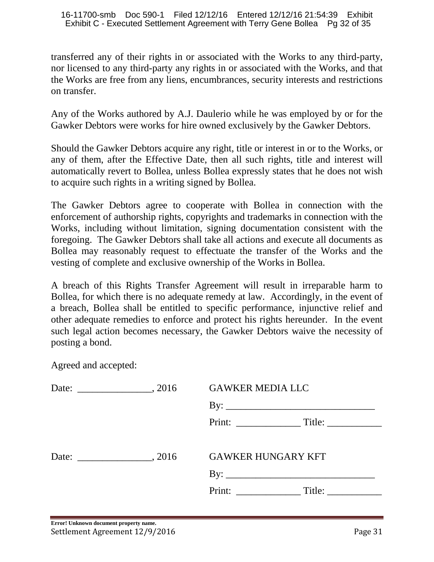transferred any of their rights in or associated with the Works to any third-party, nor licensed to any third-party any rights in or associated with the Works, and that the Works are free from any liens, encumbrances, security interests and restrictions on transfer.

Any of the Works authored by A.J. Daulerio while he was employed by or for the Gawker Debtors were works for hire owned exclusively by the Gawker Debtors.

Should the Gawker Debtors acquire any right, title or interest in or to the Works, or any of them, after the Effective Date, then all such rights, title and interest will automatically revert to Bollea, unless Bollea expressly states that he does not wish to acquire such rights in a writing signed by Bollea.

The Gawker Debtors agree to cooperate with Bollea in connection with the enforcement of authorship rights, copyrights and trademarks in connection with the Works, including without limitation, signing documentation consistent with the foregoing. The Gawker Debtors shall take all actions and execute all documents as Bollea may reasonably request to effectuate the transfer of the Works and the vesting of complete and exclusive ownership of the Works in Bollea.

A breach of this Rights Transfer Agreement will result in irreparable harm to Bollea, for which there is no adequate remedy at law. Accordingly, in the event of a breach, Bollea shall be entitled to specific performance, injunctive relief and other adequate remedies to enforce and protect his rights hereunder. In the event such legal action becomes necessary, the Gawker Debtors waive the necessity of posting a bond.

Agreed and accepted:

|  |  | <b>GAWKER MEDIA LLC</b>   |  |
|--|--|---------------------------|--|
|  |  |                           |  |
|  |  |                           |  |
|  |  | <b>GAWKER HUNGARY KFT</b> |  |
|  |  |                           |  |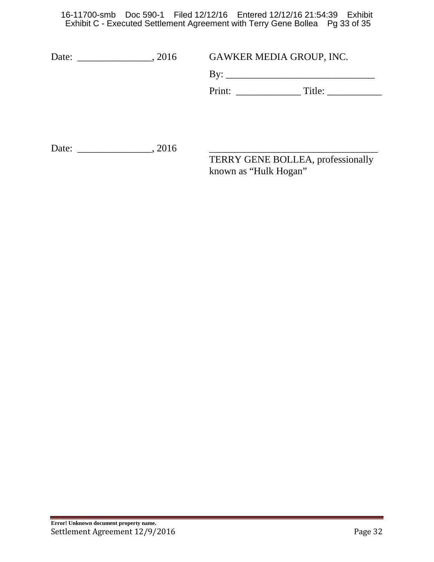16-11700-smb Doc 590-1 Filed 12/12/16 Entered 12/12/16 21:54:39 Exhibit Exhibit C - Executed Settlement Agreement with Terry Gene Bollea Pg 33 of 35

| Date: 2016 | GAWKER MEDIA GROUP, INC.                                   |
|------------|------------------------------------------------------------|
|            |                                                            |
|            | $Title: \begin{array}{ccc} \hline \end{array}$             |
|            |                                                            |
|            |                                                            |
| Date: 2016 |                                                            |
|            | TERRY GENE BOLLEA, professionally<br>known as "Hulk Hogan" |
|            |                                                            |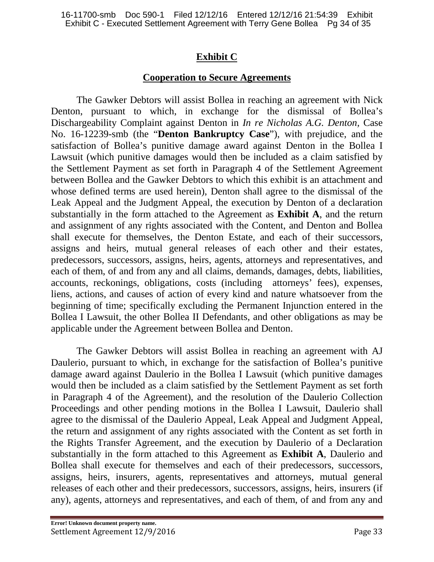# **Exhibit C**

#### **Cooperation to Secure Agreements**

The Gawker Debtors will assist Bollea in reaching an agreement with Nick Denton, pursuant to which, in exchange for the dismissal of Bollea's Dischargeability Complaint against Denton in *In re Nicholas A.G. Denton,* Case No. 16-12239-smb (the "**Denton Bankruptcy Case**"), with prejudice, and the satisfaction of Bollea's punitive damage award against Denton in the Bollea I Lawsuit (which punitive damages would then be included as a claim satisfied by the Settlement Payment as set forth in Paragraph 4 of the Settlement Agreement between Bollea and the Gawker Debtors to which this exhibit is an attachment and whose defined terms are used herein), Denton shall agree to the dismissal of the Leak Appeal and the Judgment Appeal, the execution by Denton of a declaration substantially in the form attached to the Agreement as **Exhibit A**, and the return and assignment of any rights associated with the Content, and Denton and Bollea shall execute for themselves, the Denton Estate, and each of their successors, assigns and heirs, mutual general releases of each other and their estates, predecessors, successors, assigns, heirs, agents, attorneys and representatives, and each of them, of and from any and all claims, demands, damages, debts, liabilities, accounts, reckonings, obligations, costs (including attorneys' fees), expenses, liens, actions, and causes of action of every kind and nature whatsoever from the beginning of time; specifically excluding the Permanent Injunction entered in the Bollea I Lawsuit, the other Bollea II Defendants, and other obligations as may be applicable under the Agreement between Bollea and Denton.

The Gawker Debtors will assist Bollea in reaching an agreement with AJ Daulerio, pursuant to which, in exchange for the satisfaction of Bollea's punitive damage award against Daulerio in the Bollea I Lawsuit (which punitive damages would then be included as a claim satisfied by the Settlement Payment as set forth in Paragraph 4 of the Agreement), and the resolution of the Daulerio Collection Proceedings and other pending motions in the Bollea I Lawsuit, Daulerio shall agree to the dismissal of the Daulerio Appeal, Leak Appeal and Judgment Appeal, the return and assignment of any rights associated with the Content as set forth in the Rights Transfer Agreement, and the execution by Daulerio of a Declaration substantially in the form attached to this Agreement as **Exhibit A**, Daulerio and Bollea shall execute for themselves and each of their predecessors, successors, assigns, heirs, insurers, agents, representatives and attorneys, mutual general releases of each other and their predecessors, successors, assigns, heirs, insurers (if any), agents, attorneys and representatives, and each of them, of and from any and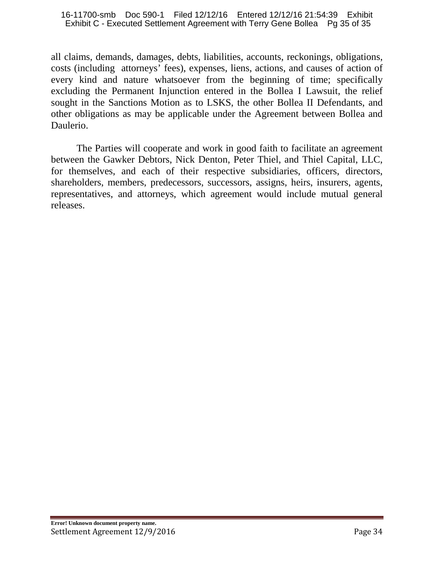#### 16-11700-smb Doc 590-1 Filed 12/12/16 Entered 12/12/16 21:54:39 Exhibit Exhibit C - Executed Settlement Agreement with Terry Gene Bollea Pg 35 of 35

all claims, demands, damages, debts, liabilities, accounts, reckonings, obligations, costs (including attorneys' fees), expenses, liens, actions, and causes of action of every kind and nature whatsoever from the beginning of time; specifically excluding the Permanent Injunction entered in the Bollea I Lawsuit, the relief sought in the Sanctions Motion as to LSKS, the other Bollea II Defendants, and other obligations as may be applicable under the Agreement between Bollea and Daulerio.

The Parties will cooperate and work in good faith to facilitate an agreement between the Gawker Debtors, Nick Denton, Peter Thiel, and Thiel Capital, LLC, for themselves, and each of their respective subsidiaries, officers, directors, shareholders, members, predecessors, successors, assigns, heirs, insurers, agents, representatives, and attorneys, which agreement would include mutual general releases.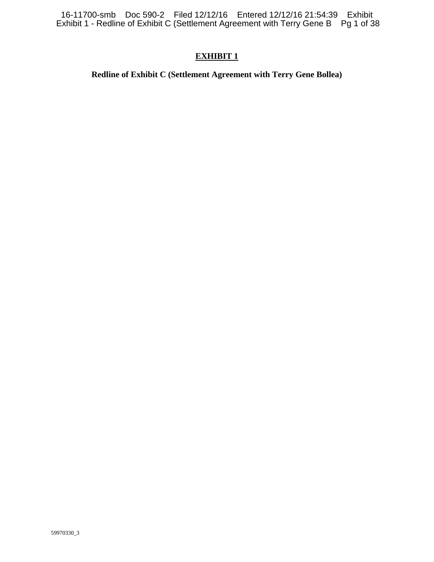16-11700-smb Doc 590-2 Filed 12/12/16 Entered 12/12/16 21:54:39 Exhibit Exhibit 1 - Redline of Exhibit C (Settlement Agreement with Terry Gene B Pg 1 of 38

#### **EXHIBIT 1**

#### **Redline of Exhibit C (Settlement Agreement with Terry Gene Bollea)**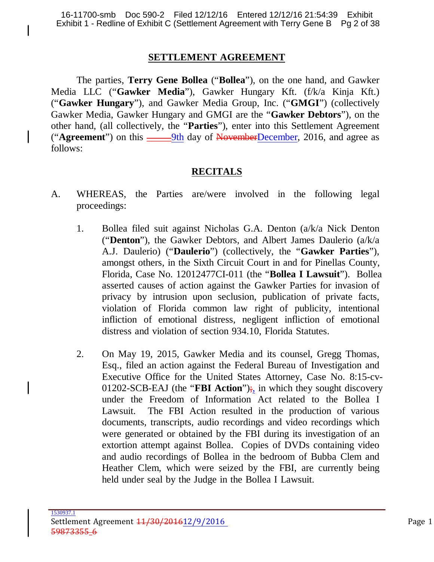#### **SETTLEMENT AGREEMENT**

The parties, **Terry Gene Bollea** ("**Bollea**"), on the one hand, and Gawker Media LLC ("**Gawker Media**"), Gawker Hungary Kft. (f/k/a Kinja Kft.) ("**Gawker Hungary**"), and Gawker Media Group, Inc. ("**GMGI**") (collectively Gawker Media, Gawker Hungary and GMGI are the "**Gawker Debtors**"), on the other hand, (all collectively, the "**Parties**"), enter into this Settlement Agreement ("**Agreement**") on this <u>\_\_\_\_\_9th</u> day of NovemberDecember, 2016, and agree as follows:

## **RECITALS**

- A. WHEREAS, the Parties are/were involved in the following legal proceedings:
	- 1. Bollea filed suit against Nicholas G.A. Denton (a/k/a Nick Denton ("**Denton**"), the Gawker Debtors, and Albert James Daulerio (a/k/a A.J. Daulerio) ("**Daulerio**") (collectively, the "**Gawker Parties**"), amongst others, in the Sixth Circuit Court in and for Pinellas County, Florida, Case No. 12012477CI-011 (the "**Bollea I Lawsuit**"). Bollea asserted causes of action against the Gawker Parties for invasion of privacy by intrusion upon seclusion, publication of private facts, violation of Florida common law right of publicity, intentional infliction of emotional distress, negligent infliction of emotional distress and violation of section 934.10, Florida Statutes.
	- 2. On May 19, 2015, Gawker Media and its counsel, Gregg Thomas, Esq., filed an action against the Federal Bureau of Investigation and Executive Office for the United States Attorney, Case No. 8:15-cv-01202-SCB-EAJ (the "**FBI Action**");, in which they sought discovery under the Freedom of Information Act related to the Bollea I Lawsuit. The FBI Action resulted in the production of various documents, transcripts, audio recordings and video recordings which were generated or obtained by the FBI during its investigation of an extortion attempt against Bollea. Copies of DVDs containing video and audio recordings of Bollea in the bedroom of Bubba Clem and Heather Clem, which were seized by the FBI, are currently being held under seal by the Judge in the Bollea I Lawsuit.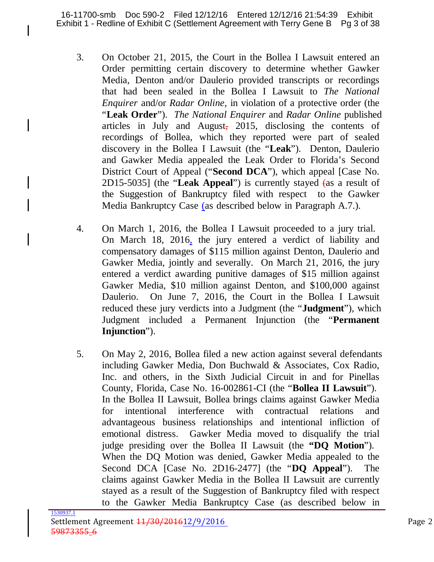- 3. On October 21, 2015, the Court in the Bollea I Lawsuit entered an Order permitting certain discovery to determine whether Gawker Media, Denton and/or Daulerio provided transcripts or recordings that had been sealed in the Bollea I Lawsuit to *The National Enquirer* and/or *Radar Online*, in violation of a protective order (the "**Leak Order**"). *The National Enquirer* and *Radar Online* published articles in July and August, 2015, disclosing the contents of recordings of Bollea, which they reported were part of sealed discovery in the Bollea I Lawsuit (the "**Leak**"). Denton, Daulerio and Gawker Media appealed the Leak Order to Florida's Second District Court of Appeal ("**Second DCA**"), which appeal [Case No. 2D15-5035] (the "**Leak Appeal**") is currently stayed (as a result of the Suggestion of Bankruptcy filed with respect to the Gawker Media Bankruptcy Case (as described below in Paragraph A.7.).
- 4. On March 1, 2016, the Bollea I Lawsuit proceeded to a jury trial. On March 18, 2016, the jury entered a verdict of liability and compensatory damages of \$115 million against Denton, Daulerio and Gawker Media, jointly and severally. On March 21, 2016, the jury entered a verdict awarding punitive damages of \$15 million against Gawker Media, \$10 million against Denton, and \$100,000 against Daulerio. On June 7, 2016, the Court in the Bollea I Lawsuit reduced these jury verdicts into a Judgment (the "**Judgment**"), which Judgment included a Permanent Injunction (the "**Permanent Injunction**").
- 5. On May 2, 2016, Bollea filed a new action against several defendants including Gawker Media, Don Buchwald & Associates, Cox Radio, Inc. and others, in the Sixth Judicial Circuit in and for Pinellas County, Florida, Case No. 16-002861-CI (the "**Bollea II Lawsuit**"). In the Bollea II Lawsuit, Bollea brings claims against Gawker Media for intentional interference with contractual relations and advantageous business relationships and intentional infliction of emotional distress. Gawker Media moved to disqualify the trial judge presiding over the Bollea II Lawsuit (the **"DQ Motion**"). When the DQ Motion was denied, Gawker Media appealed to the Second DCA [Case No. 2D16-2477] (the "**DQ Appeal**"). The claims against Gawker Media in the Bollea II Lawsuit are currently stayed as a result of the Suggestion of Bankruptcy filed with respect to the Gawker Media Bankruptcy Case (as described below in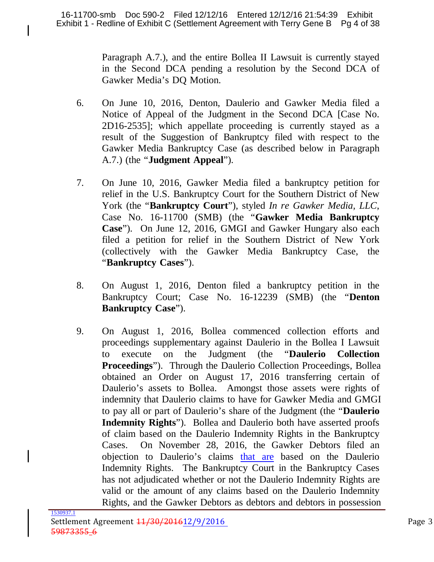Paragraph A.7.), and the entire Bollea II Lawsuit is currently stayed in the Second DCA pending a resolution by the Second DCA of Gawker Media's DQ Motion.

- 6. On June 10, 2016, Denton, Daulerio and Gawker Media filed a Notice of Appeal of the Judgment in the Second DCA [Case No. 2D16-2535]; which appellate proceeding is currently stayed as a result of the Suggestion of Bankruptcy filed with respect to the Gawker Media Bankruptcy Case (as described below in Paragraph A.7.) (the "**Judgment Appeal**").
- 7. On June 10, 2016, Gawker Media filed a bankruptcy petition for relief in the U.S. Bankruptcy Court for the Southern District of New York (the "**Bankruptcy Court**"), styled *In re Gawker Media, LLC*, Case No. 16-11700 (SMB) (the "**Gawker Media Bankruptcy Case**"). On June 12, 2016, GMGI and Gawker Hungary also each filed a petition for relief in the Southern District of New York (collectively with the Gawker Media Bankruptcy Case, the "**Bankruptcy Cases**").
- 8. On August 1, 2016, Denton filed a bankruptcy petition in the Bankruptcy Court; Case No. 16-12239 (SMB) (the "**Denton Bankruptcy Case**").
- 9. On August 1, 2016, Bollea commenced collection efforts and proceedings supplementary against Daulerio in the Bollea I Lawsuit execute on the Judgment (the "**Daulerio Collection Proceedings**"). Through the Daulerio Collection Proceedings, Bollea obtained an Order on August 17, 2016 transferring certain of Daulerio's assets to Bollea. Amongst those assets were rights of indemnity that Daulerio claims to have for Gawker Media and GMGI to pay all or part of Daulerio's share of the Judgment (the "**Daulerio Indemnity Rights**"). Bollea and Daulerio both have asserted proofs of claim based on the Daulerio Indemnity Rights in the Bankruptcy Cases. On November 28, 2016, the Gawker Debtors filed an objection to Daulerio's claims that are based on the Daulerio Indemnity Rights. The Bankruptcy Court in the Bankruptcy Cases has not adjudicated whether or not the Daulerio Indemnity Rights are valid or the amount of any claims based on the Daulerio Indemnity Rights, and the Gawker Debtors as debtors and debtors in possession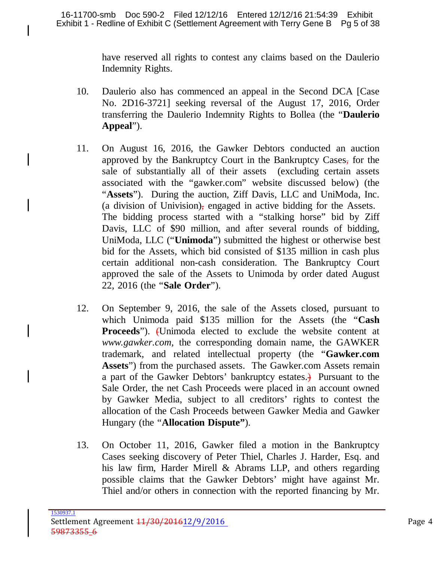have reserved all rights to contest any claims based on the Daulerio Indemnity Rights.

- 10. Daulerio also has commenced an appeal in the Second DCA [Case No. 2D16-3721] seeking reversal of the August 17, 2016, Order transferring the Daulerio Indemnity Rights to Bollea (the "**Daulerio Appeal**").
- 11. On August 16, 2016, the Gawker Debtors conducted an auction approved by the Bankruptcy Court in the Bankruptcy Cases, for the sale of substantially all of their assets (excluding certain assets associated with the "gawker.com" website discussed below) (the "**Assets**"). During the auction, Ziff Davis, LLC and UniModa, Inc. (a division of Univision), engaged in active bidding for the Assets. The bidding process started with a "stalking horse" bid by Ziff Davis, LLC of \$90 million, and after several rounds of bidding, UniModa, LLC ("**Unimoda**") submitted the highest or otherwise best bid for the Assets, which bid consisted of \$135 million in cash plus certain additional non-cash consideration. The Bankruptcy Court approved the sale of the Assets to Unimoda by order dated August 22, 2016 (the "**Sale Order**").
- 12. On September 9, 2016, the sale of the Assets closed, pursuant to which Unimoda paid \$135 million for the Assets (the "**Cash Proceeds**"). (Unimoda elected to exclude the website content at *www.gawker.com,* the corresponding domain name, the GAWKER trademark, and related intellectual property (the "**Gawker.com Assets**") from the purchased assets. The Gawker.com Assets remain a part of the Gawker Debtors' bankruptcy estates.) Pursuant to the Sale Order, the net Cash Proceeds were placed in an account owned by Gawker Media, subject to all creditors' rights to contest the allocation of the Cash Proceeds between Gawker Media and Gawker Hungary (the "**Allocation Dispute"**).
- 13. On October 11, 2016, Gawker filed a motion in the Bankruptcy Cases seeking discovery of Peter Thiel, Charles J. Harder, Esq. and his law firm, Harder Mirell & Abrams LLP, and others regarding possible claims that the Gawker Debtors' might have against Mr. Thiel and/or others in connection with the reported financing by Mr.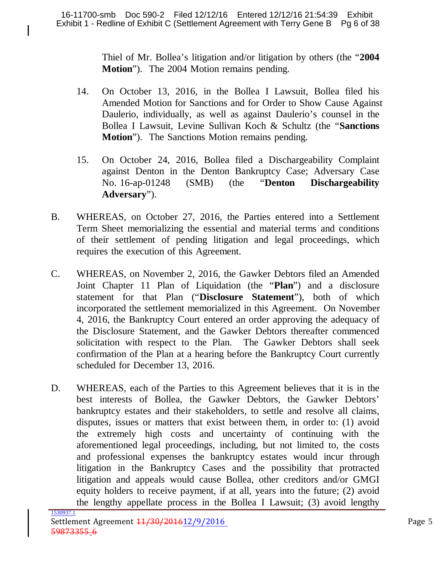Thiel of Mr. Bollea's litigation and/or litigation by others (the "**2004 Motion**"). The 2004 Motion remains pending.

- 14. On October 13, 2016, in the Bollea I Lawsuit, Bollea filed his Amended Motion for Sanctions and for Order to Show Cause Against Daulerio, individually, as well as against Daulerio's counsel in the Bollea I Lawsuit, Levine Sullivan Koch & Schultz (the "**Sanctions Motion**"). The Sanctions Motion remains pending.
- 15. On October 24, 2016, Bollea filed a Dischargeability Complaint against Denton in the Denton Bankruptcy Case; Adversary Case No. 16-ap-01248 (SMB) (the "**Denton Dischargeability Adversary**").
- B. WHEREAS, on October 27, 2016, the Parties entered into a Settlement Term Sheet memorializing the essential and material terms and conditions of their settlement of pending litigation and legal proceedings, which requires the execution of this Agreement.
- C. WHEREAS, on November 2, 2016, the Gawker Debtors filed an Amended Joint Chapter 11 Plan of Liquidation (the "**Plan**") and a disclosure statement for that Plan ("**Disclosure Statement**"), both of which incorporated the settlement memorialized in this Agreement. On November 4, 2016, the Bankruptcy Court entered an order approving the adequacy of the Disclosure Statement, and the Gawker Debtors thereafter commenced solicitation with respect to the Plan. The Gawker Debtors shall seek confirmation of the Plan at a hearing before the Bankruptcy Court currently scheduled for December 13, 2016.
- D. WHEREAS, each of the Parties to this Agreement believes that it is in the best interests of Bollea, the Gawker Debtors, the Gawker Debtors' bankruptcy estates and their stakeholders, to settle and resolve all claims, disputes, issues or matters that exist between them, in order to: (1) avoid the extremely high costs and uncertainty of continuing with the aforementioned legal proceedings, including, but not limited to, the costs and professional expenses the bankruptcy estates would incur through litigation in the Bankruptcy Cases and the possibility that protracted litigation and appeals would cause Bollea, other creditors and/or GMGI equity holders to receive payment, if at all, years into the future; (2) avoid the lengthy appellate process in the Bollea I Lawsuit; (3) avoid lengthy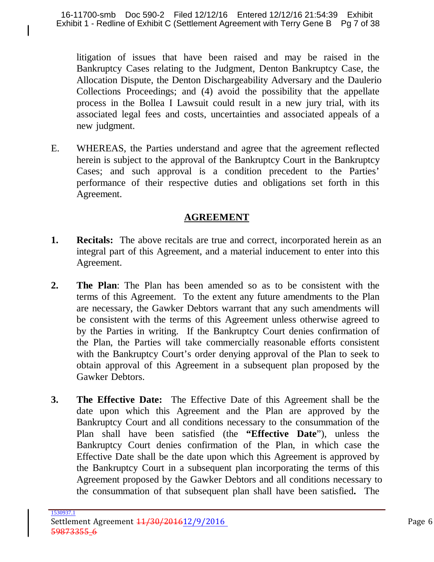litigation of issues that have been raised and may be raised in the Bankruptcy Cases relating to the Judgment, Denton Bankruptcy Case, the Allocation Dispute, the Denton Dischargeability Adversary and the Daulerio Collections Proceedings; and (4) avoid the possibility that the appellate process in the Bollea I Lawsuit could result in a new jury trial, with its associated legal fees and costs, uncertainties and associated appeals of a new judgment.

E. WHEREAS, the Parties understand and agree that the agreement reflected herein is subject to the approval of the Bankruptcy Court in the Bankruptcy Cases; and such approval is a condition precedent to the Parties' performance of their respective duties and obligations set forth in this Agreement.

### **AGREEMENT**

- **1. Recitals:** The above recitals are true and correct, incorporated herein as an integral part of this Agreement, and a material inducement to enter into this Agreement.
- **2. The Plan**: The Plan has been amended so as to be consistent with the terms of this Agreement. To the extent any future amendments to the Plan are necessary, the Gawker Debtors warrant that any such amendments will be consistent with the terms of this Agreement unless otherwise agreed to by the Parties in writing. If the Bankruptcy Court denies confirmation of the Plan, the Parties will take commercially reasonable efforts consistent with the Bankruptcy Court's order denying approval of the Plan to seek to obtain approval of this Agreement in a subsequent plan proposed by the Gawker Debtors.
- **3. The Effective Date:** The Effective Date of this Agreement shall be the date upon which this Agreement and the Plan are approved by the Bankruptcy Court and all conditions necessary to the consummation of the Plan shall have been satisfied (the **"Effective Date**"), unless the Bankruptcy Court denies confirmation of the Plan, in which case the Effective Date shall be the date upon which this Agreement is approved by the Bankruptcy Court in a subsequent plan incorporating the terms of this Agreement proposed by the Gawker Debtors and all conditions necessary to the consummation of that subsequent plan shall have been satisfied**.** The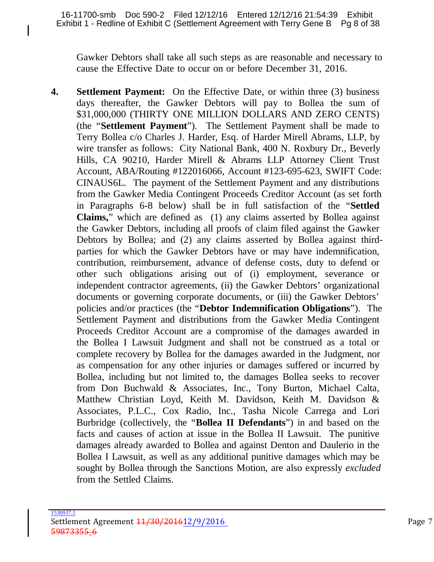Gawker Debtors shall take all such steps as are reasonable and necessary to cause the Effective Date to occur on or before December 31, 2016.

**4. Settlement Payment:** On the Effective Date, or within three (3) business days thereafter, the Gawker Debtors will pay to Bollea the sum of \$31,000,000 (THIRTY ONE MILLION DOLLARS AND ZERO CENTS) (the "**Settlement Payment**"). The Settlement Payment shall be made to Terry Bollea c/o Charles J. Harder, Esq. of Harder Mirell Abrams, LLP, by wire transfer as follows: City National Bank, 400 N. Roxbury Dr., Beverly Hills, CA 90210, Harder Mirell & Abrams LLP Attorney Client Trust Account, ABA/Routing #122016066, Account #123-695-623, SWIFT Code: CINAUS6L. The payment of the Settlement Payment and any distributions from the Gawker Media Contingent Proceeds Creditor Account (as set forth in Paragraphs 6-8 below) shall be in full satisfaction of the "**Settled Claims,**" which are defined as (1) any claims asserted by Bollea against the Gawker Debtors, including all proofs of claim filed against the Gawker Debtors by Bollea; and (2) any claims asserted by Bollea against thirdparties for which the Gawker Debtors have or may have indemnification, contribution, reimbursement, advance of defense costs, duty to defend or other such obligations arising out of (i) employment, severance or independent contractor agreements, (ii) the Gawker Debtors' organizational documents or governing corporate documents, or (iii) the Gawker Debtors' policies and/or practices (the "**Debtor Indemnification Obligations**"). The Settlement Payment and distributions from the Gawker Media Contingent Proceeds Creditor Account are a compromise of the damages awarded in the Bollea I Lawsuit Judgment and shall not be construed as a total or complete recovery by Bollea for the damages awarded in the Judgment, nor as compensation for any other injuries or damages suffered or incurred by Bollea, including but not limited to, the damages Bollea seeks to recover from Don Buchwald & Associates, Inc., Tony Burton, Michael Calta, Matthew Christian Loyd, Keith M. Davidson, Keith M. Davidson & Associates, P.L.C., Cox Radio, Inc., Tasha Nicole Carrega and Lori Burbridge (collectively, the "**Bollea II Defendants**") in and based on the facts and causes of action at issue in the Bollea II Lawsuit. The punitive damages already awarded to Bollea and against Denton and Daulerio in the Bollea I Lawsuit, as well as any additional punitive damages which may be sought by Bollea through the Sanctions Motion, are also expressly *excluded* from the Settled Claims.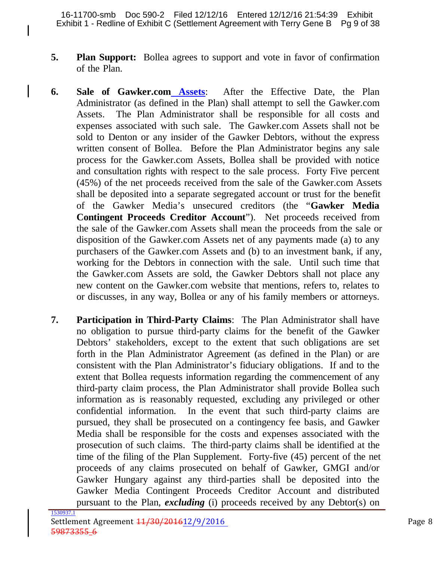I

- **5. Plan Support:** Bollea agrees to support and vote in favor of confirmation of the Plan.
- **6. Sale of Gawker.com Assets**: After the Effective Date, the Plan Administrator (as defined in the Plan) shall attempt to sell the Gawker.com Assets. The Plan Administrator shall be responsible for all costs and expenses associated with such sale. The Gawker.com Assets shall not be sold to Denton or any insider of the Gawker Debtors, without the express written consent of Bollea. Before the Plan Administrator begins any sale process for the Gawker.com Assets, Bollea shall be provided with notice and consultation rights with respect to the sale process. Forty Five percent (45%) of the net proceeds received from the sale of the Gawker.com Assets shall be deposited into a separate segregated account or trust for the benefit of the Gawker Media's unsecured creditors (the "**Gawker Media Contingent Proceeds Creditor Account**"). Net proceeds received from the sale of the Gawker.com Assets shall mean the proceeds from the sale or disposition of the Gawker.com Assets net of any payments made (a) to any purchasers of the Gawker.com Assets and (b) to an investment bank, if any, working for the Debtors in connection with the sale. Until such time that the Gawker.com Assets are sold, the Gawker Debtors shall not place any new content on the Gawker.com website that mentions, refers to, relates to or discusses, in any way, Bollea or any of his family members or attorneys.
- **7. Participation in Third-Party Claims**: The Plan Administrator shall have no obligation to pursue third-party claims for the benefit of the Gawker Debtors' stakeholders, except to the extent that such obligations are set forth in the Plan Administrator Agreement (as defined in the Plan) or are consistent with the Plan Administrator's fiduciary obligations. If and to the extent that Bollea requests information regarding the commencement of any third-party claim process, the Plan Administrator shall provide Bollea such information as is reasonably requested, excluding any privileged or other confidential information. In the event that such third-party claims are pursued, they shall be prosecuted on a contingency fee basis, and Gawker Media shall be responsible for the costs and expenses associated with the prosecution of such claims. The third-party claims shall be identified at the time of the filing of the Plan Supplement. Forty-five (45) percent of the net proceeds of any claims prosecuted on behalf of Gawker, GMGI and/or Gawker Hungary against any third-parties shall be deposited into the Gawker Media Contingent Proceeds Creditor Account and distributed pursuant to the Plan, *excluding* (i) proceeds received by any Debtor(s) on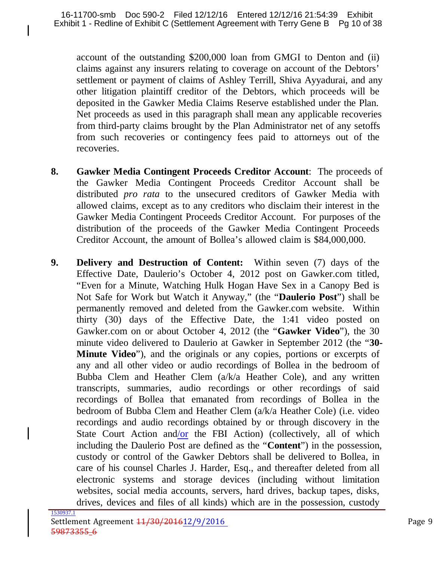account of the outstanding \$200,000 loan from GMGI to Denton and (ii) claims against any insurers relating to coverage on account of the Debtors' settlement or payment of claims of Ashley Terrill, Shiva Ayyadurai, and any other litigation plaintiff creditor of the Debtors, which proceeds will be deposited in the Gawker Media Claims Reserve established under the Plan. Net proceeds as used in this paragraph shall mean any applicable recoveries from third-party claims brought by the Plan Administrator net of any setoffs from such recoveries or contingency fees paid to attorneys out of the recoveries.

- **8. Gawker Media Contingent Proceeds Creditor Account**: The proceeds of the Gawker Media Contingent Proceeds Creditor Account shall be distributed *pro rata* to the unsecured creditors of Gawker Media with allowed claims, except as to any creditors who disclaim their interest in the Gawker Media Contingent Proceeds Creditor Account. For purposes of the distribution of the proceeds of the Gawker Media Contingent Proceeds Creditor Account, the amount of Bollea's allowed claim is \$84,000,000.
- **9. Delivery and Destruction of Content:** Within seven (7) days of the Effective Date, Daulerio's October 4, 2012 post on Gawker.com titled, "Even for a Minute, Watching Hulk Hogan Have Sex in a Canopy Bed is Not Safe for Work but Watch it Anyway," (the "**Daulerio Post**") shall be permanently removed and deleted from the Gawker.com website. Within thirty (30) days of the Effective Date, the 1:41 video posted on Gawker.com on or about October 4, 2012 (the "**Gawker Video**"), the 30 minute video delivered to Daulerio at Gawker in September 2012 (the "**30- Minute Video**"), and the originals or any copies, portions or excerpts of any and all other video or audio recordings of Bollea in the bedroom of Bubba Clem and Heather Clem (a/k/a Heather Cole), and any written transcripts, summaries, audio recordings or other recordings of said recordings of Bollea that emanated from recordings of Bollea in the bedroom of Bubba Clem and Heather Clem (a/k/a Heather Cole) (i.e. video recordings and audio recordings obtained by or through discovery in the State Court Action and/or the FBI Action) (collectively, all of which including the Daulerio Post are defined as the "**Content**") in the possession, custody or control of the Gawker Debtors shall be delivered to Bollea, in care of his counsel Charles J. Harder, Esq., and thereafter deleted from all electronic systems and storage devices (including without limitation websites, social media accounts, servers, hard drives, backup tapes, disks, drives, devices and files of all kinds) which are in the possession, custody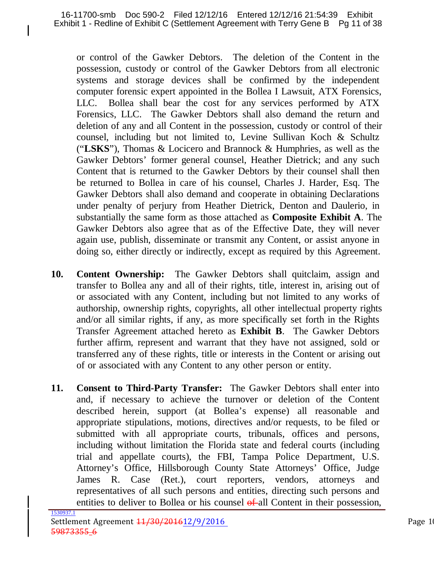or control of the Gawker Debtors. The deletion of the Content in the possession, custody or control of the Gawker Debtors from all electronic systems and storage devices shall be confirmed by the independent computer forensic expert appointed in the Bollea I Lawsuit, ATX Forensics, LLC. Bollea shall bear the cost for any services performed by ATX Forensics, LLC. The Gawker Debtors shall also demand the return and deletion of any and all Content in the possession, custody or control of their counsel, including but not limited to, Levine Sullivan Koch & Schultz ("**LSKS**"), Thomas & Locicero and Brannock & Humphries, as well as the Gawker Debtors' former general counsel, Heather Dietrick; and any such Content that is returned to the Gawker Debtors by their counsel shall then be returned to Bollea in care of his counsel, Charles J. Harder, Esq. The Gawker Debtors shall also demand and cooperate in obtaining Declarations under penalty of perjury from Heather Dietrick, Denton and Daulerio, in substantially the same form as those attached as **Composite Exhibit A**. The Gawker Debtors also agree that as of the Effective Date, they will never again use, publish, disseminate or transmit any Content, or assist anyone in doing so, either directly or indirectly, except as required by this Agreement.

- **10. Content Ownership:** The Gawker Debtors shall quitclaim, assign and transfer to Bollea any and all of their rights, title, interest in, arising out of or associated with any Content, including but not limited to any works of authorship, ownership rights, copyrights, all other intellectual property rights and/or all similar rights, if any, as more specifically set forth in the Rights Transfer Agreement attached hereto as **Exhibit B**. The Gawker Debtors further affirm, represent and warrant that they have not assigned, sold or transferred any of these rights, title or interests in the Content or arising out of or associated with any Content to any other person or entity.
- **11. Consent to Third-Party Transfer:** The Gawker Debtors shall enter into and, if necessary to achieve the turnover or deletion of the Content described herein, support (at Bollea's expense) all reasonable and appropriate stipulations, motions, directives and/or requests, to be filed or submitted with all appropriate courts, tribunals, offices and persons, including without limitation the Florida state and federal courts (including trial and appellate courts), the FBI, Tampa Police Department, U.S. Attorney's Office, Hillsborough County State Attorneys' Office, Judge James R. Case (Ret.), court reporters, vendors, attorneys and representatives of all such persons and entities, directing such persons and entities to deliver to Bollea or his counsel  $\theta$ -all Content in their possession,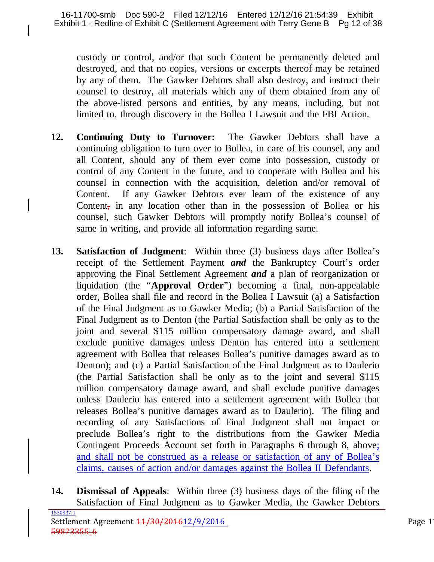custody or control, and/or that such Content be permanently deleted and destroyed, and that no copies, versions or excerpts thereof may be retained by any of them. The Gawker Debtors shall also destroy, and instruct their counsel to destroy, all materials which any of them obtained from any of the above-listed persons and entities, by any means, including, but not limited to, through discovery in the Bollea I Lawsuit and the FBI Action.

- **12. Continuing Duty to Turnover:** The Gawker Debtors shall have a continuing obligation to turn over to Bollea, in care of his counsel, any and all Content, should any of them ever come into possession, custody or control of any Content in the future, and to cooperate with Bollea and his counsel in connection with the acquisition, deletion and/or removal of Content. If any Gawker Debtors ever learn of the existence of any Content, in any location other than in the possession of Bollea or his counsel, such Gawker Debtors will promptly notify Bollea's counsel of same in writing, and provide all information regarding same.
- **13. Satisfaction of Judgment**: Within three (3) business days after Bollea's receipt of the Settlement Payment *and* the Bankruptcy Court's order approving the Final Settlement Agreement *and* a plan of reorganization or liquidation (the "**Approval Order**") becoming a final, non-appealable order, Bollea shall file and record in the Bollea I Lawsuit (a) a Satisfaction of the Final Judgment as to Gawker Media; (b) a Partial Satisfaction of the Final Judgment as to Denton (the Partial Satisfaction shall be only as to the joint and several \$115 million compensatory damage award, and shall exclude punitive damages unless Denton has entered into a settlement agreement with Bollea that releases Bollea's punitive damages award as to Denton); and (c) a Partial Satisfaction of the Final Judgment as to Daulerio (the Partial Satisfaction shall be only as to the joint and several \$115 million compensatory damage award, and shall exclude punitive damages unless Daulerio has entered into a settlement agreement with Bollea that releases Bollea's punitive damages award as to Daulerio). The filing and recording of any Satisfactions of Final Judgment shall not impact or preclude Bollea's right to the distributions from the Gawker Media Contingent Proceeds Account set forth in Paragraphs 6 through 8, above; and shall not be construed as a release or satisfaction of any of Bollea's claims, causes of action and/or damages against the Bollea II Defendants.
- **14. Dismissal of Appeals**: Within three (3) business days of the filing of the Satisfaction of Final Judgment as to Gawker Media, the Gawker Debtors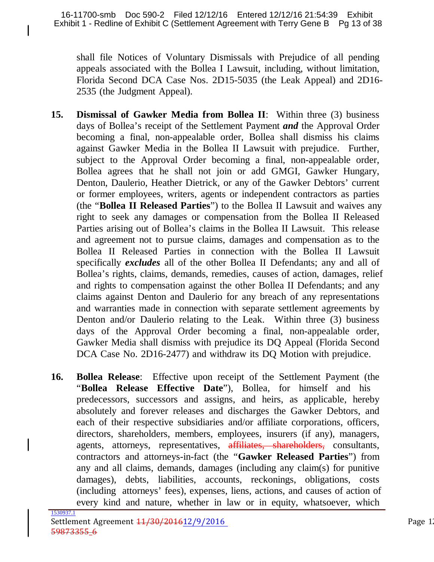shall file Notices of Voluntary Dismissals with Prejudice of all pending appeals associated with the Bollea I Lawsuit, including, without limitation, Florida Second DCA Case Nos. 2D15-5035 (the Leak Appeal) and 2D16- 2535 (the Judgment Appeal).

- **15. Dismissal of Gawker Media from Bollea II**: Within three (3) business days of Bollea's receipt of the Settlement Payment *and* the Approval Order becoming a final, non-appealable order, Bollea shall dismiss his claims against Gawker Media in the Bollea II Lawsuit with prejudice. Further, subject to the Approval Order becoming a final, non-appealable order, Bollea agrees that he shall not join or add GMGI, Gawker Hungary, Denton, Daulerio, Heather Dietrick, or any of the Gawker Debtors' current or former employees, writers, agents or independent contractors as parties (the "**Bollea II Released Parties**") to the Bollea II Lawsuit and waives any right to seek any damages or compensation from the Bollea II Released Parties arising out of Bollea's claims in the Bollea II Lawsuit. This release and agreement not to pursue claims, damages and compensation as to the Bollea II Released Parties in connection with the Bollea II Lawsuit specifically *excludes* all of the other Bollea II Defendants; any and all of Bollea's rights, claims, demands, remedies, causes of action, damages, relief and rights to compensation against the other Bollea II Defendants; and any claims against Denton and Daulerio for any breach of any representations and warranties made in connection with separate settlement agreements by Denton and/or Daulerio relating to the Leak. Within three (3) business days of the Approval Order becoming a final, non-appealable order, Gawker Media shall dismiss with prejudice its DQ Appeal (Florida Second DCA Case No. 2D16-2477) and withdraw its DQ Motion with prejudice.
- **16. Bollea Release**: Effective upon receipt of the Settlement Payment (the "**Bollea Release Effective Date**"), Bollea, for himself and his predecessors, successors and assigns, and heirs, as applicable, hereby absolutely and forever releases and discharges the Gawker Debtors, and each of their respective subsidiaries and/or affiliate corporations, officers, directors, shareholders, members, employees, insurers (if any), managers, agents, attorneys, representatives, affiliates, shareholders, consultants, contractors and attorneys-in-fact (the "**Gawker Released Parties**") from any and all claims, demands, damages (including any claim(s) for punitive damages), debts, liabilities, accounts, reckonings, obligations, costs (including attorneys' fees), expenses, liens, actions, and causes of action of every kind and nature, whether in law or in equity, whatsoever, which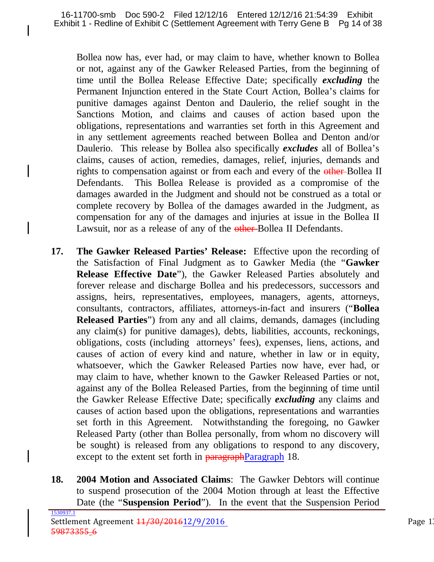Bollea now has, ever had, or may claim to have, whether known to Bollea or not, against any of the Gawker Released Parties, from the beginning of time until the Bollea Release Effective Date; specifically *excluding* the Permanent Injunction entered in the State Court Action, Bollea's claims for punitive damages against Denton and Daulerio, the relief sought in the Sanctions Motion, and claims and causes of action based upon the obligations, representations and warranties set forth in this Agreement and in any settlement agreements reached between Bollea and Denton and/or Daulerio. This release by Bollea also specifically *excludes* all of Bollea's claims, causes of action, remedies, damages, relief, injuries, demands and rights to compensation against or from each and every of the other-Bollea II Defendants. This Bollea Release is provided as a compromise of the damages awarded in the Judgment and should not be construed as a total or complete recovery by Bollea of the damages awarded in the Judgment, as compensation for any of the damages and injuries at issue in the Bollea II Lawsuit, nor as a release of any of the other-Bollea II Defendants.

- **17. The Gawker Released Parties' Release:** Effective upon the recording of the Satisfaction of Final Judgment as to Gawker Media (the "**Gawker Release Effective Date**"), the Gawker Released Parties absolutely and forever release and discharge Bollea and his predecessors, successors and assigns, heirs, representatives, employees, managers, agents, attorneys, consultants, contractors, affiliates, attorneys-in-fact and insurers ("**Bollea Released Parties**") from any and all claims, demands, damages (including any claim(s) for punitive damages), debts, liabilities, accounts, reckonings, obligations, costs (including attorneys' fees), expenses, liens, actions, and causes of action of every kind and nature, whether in law or in equity, whatsoever, which the Gawker Released Parties now have, ever had, or may claim to have, whether known to the Gawker Released Parties or not, against any of the Bollea Released Parties, from the beginning of time until the Gawker Release Effective Date; specifically *excluding* any claims and causes of action based upon the obligations, representations and warranties set forth in this Agreement. Notwithstanding the foregoing, no Gawker Released Party (other than Bollea personally, from whom no discovery will be sought) is released from any obligations to respond to any discovery, except to the extent set forth in **paragraphParagraph** 18.
- **18. 2004 Motion and Associated Claims**: The Gawker Debtors will continue to suspend prosecution of the 2004 Motion through at least the Effective Date (the "**Suspension Period**"). In the event that the Suspension Period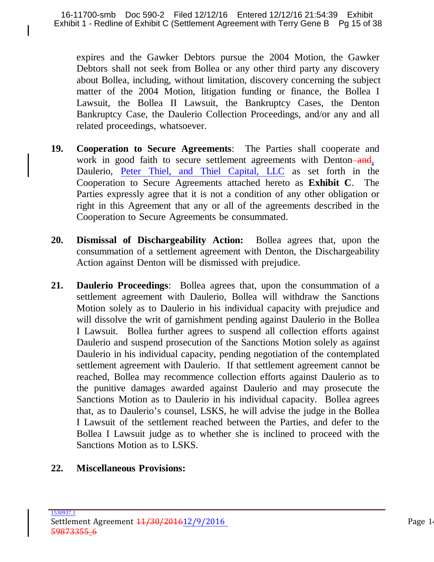expires and the Gawker Debtors pursue the 2004 Motion, the Gawker Debtors shall not seek from Bollea or any other third party any discovery about Bollea, including, without limitation, discovery concerning the subject matter of the 2004 Motion, litigation funding or finance, the Bollea I Lawsuit, the Bollea II Lawsuit, the Bankruptcy Cases, the Denton Bankruptcy Case, the Daulerio Collection Proceedings, and/or any and all related proceedings, whatsoever.

- **19. Cooperation to Secure Agreements**: The Parties shall cooperate and work in good faith to secure settlement agreements with Denton-and, Daulerio, Peter Thiel, and Thiel Capital, LLC as set forth in the Cooperation to Secure Agreements attached hereto as **Exhibit C**. The Parties expressly agree that it is not a condition of any other obligation or right in this Agreement that any or all of the agreements described in the Cooperation to Secure Agreements be consummated.
- **20. Dismissal of Dischargeability Action:** Bollea agrees that, upon the consummation of a settlement agreement with Denton, the Dischargeability Action against Denton will be dismissed with prejudice.
- **21. Daulerio Proceedings**: Bollea agrees that, upon the consummation of a settlement agreement with Daulerio, Bollea will withdraw the Sanctions Motion solely as to Daulerio in his individual capacity with prejudice and will dissolve the writ of garnishment pending against Daulerio in the Bollea I Lawsuit. Bollea further agrees to suspend all collection efforts against Daulerio and suspend prosecution of the Sanctions Motion solely as against Daulerio in his individual capacity, pending negotiation of the contemplated settlement agreement with Daulerio. If that settlement agreement cannot be reached, Bollea may recommence collection efforts against Daulerio as to the punitive damages awarded against Daulerio and may prosecute the Sanctions Motion as to Daulerio in his individual capacity. Bollea agrees that, as to Daulerio's counsel, LSKS, he will advise the judge in the Bollea I Lawsuit of the settlement reached between the Parties, and defer to the Bollea I Lawsuit judge as to whether she is inclined to proceed with the Sanctions Motion as to LSKS.

### **22. Miscellaneous Provisions:**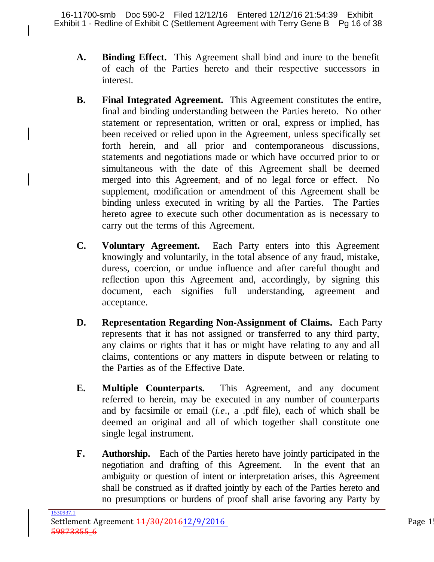- **A. Binding Effect.** This Agreement shall bind and inure to the benefit of each of the Parties hereto and their respective successors in interest.
- **B. Final Integrated Agreement.** This Agreement constitutes the entire, final and binding understanding between the Parties hereto. No other statement or representation, written or oral, express or implied, has been received or relied upon in the Agreement, unless specifically set forth herein, and all prior and contemporaneous discussions, statements and negotiations made or which have occurred prior to or simultaneous with the date of this Agreement shall be deemed merged into this Agreement, and of no legal force or effect. No supplement, modification or amendment of this Agreement shall be binding unless executed in writing by all the Parties. The Parties hereto agree to execute such other documentation as is necessary to carry out the terms of this Agreement.
- **C. Voluntary Agreement.** Each Party enters into this Agreement knowingly and voluntarily, in the total absence of any fraud, mistake, duress, coercion, or undue influence and after careful thought and reflection upon this Agreement and, accordingly, by signing this document, each signifies full understanding, agreement and acceptance.
- **D. Representation Regarding Non-Assignment of Claims.** Each Party represents that it has not assigned or transferred to any third party, any claims or rights that it has or might have relating to any and all claims, contentions or any matters in dispute between or relating to the Parties as of the Effective Date.
- **E. Multiple Counterparts.** This Agreement, and any document referred to herein, may be executed in any number of counterparts and by facsimile or email (*i.e*., a .pdf file), each of which shall be deemed an original and all of which together shall constitute one single legal instrument.
- **F. Authorship.** Each of the Parties hereto have jointly participated in the negotiation and drafting of this Agreement. In the event that an ambiguity or question of intent or interpretation arises, this Agreement shall be construed as if drafted jointly by each of the Parties hereto and no presumptions or burdens of proof shall arise favoring any Party by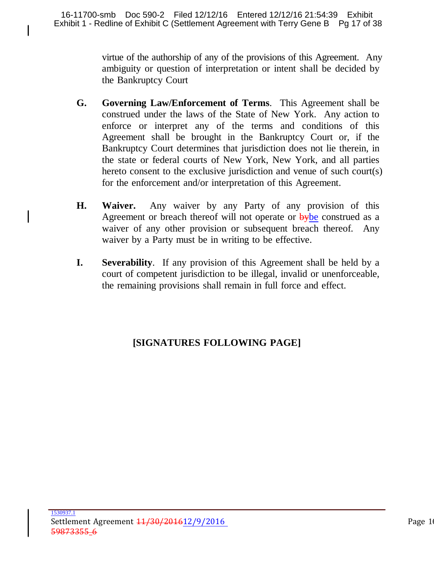virtue of the authorship of any of the provisions of this Agreement. Any ambiguity or question of interpretation or intent shall be decided by the Bankruptcy Court

- **G. Governing Law/Enforcement of Terms**. This Agreement shall be construed under the laws of the State of New York. Any action to enforce or interpret any of the terms and conditions of this Agreement shall be brought in the Bankruptcy Court or, if the Bankruptcy Court determines that jurisdiction does not lie therein, in the state or federal courts of New York, New York, and all parties hereto consent to the exclusive jurisdiction and venue of such court(s) for the enforcement and/or interpretation of this Agreement.
- **H. Waiver.** Any waiver by any Party of any provision of this Agreement or breach thereof will not operate or **bybe** construed as a waiver of any other provision or subsequent breach thereof. Any waiver by a Party must be in writing to be effective.
- **I. Severability**. If any provision of this Agreement shall be held by a court of competent jurisdiction to be illegal, invalid or unenforceable, the remaining provisions shall remain in full force and effect.

# **[SIGNATURES FOLLOWING PAGE]**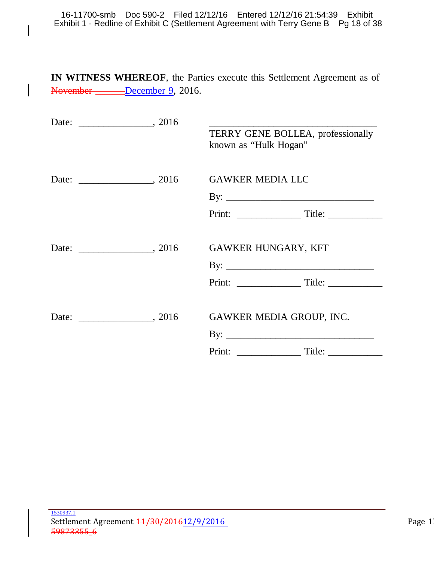16-11700-smb Doc 590-2 Filed 12/12/16 Entered 12/12/16 21:54:39 Exhibit Exhibit 1 - Redline of Exhibit C (Settlement Agreement with Terry Gene B Pg 18 of 38

 $\mathsf{l}$ 

 $\mathbf l$ 

**IN WITNESS WHEREOF**, the Parties execute this Settlement Agreement as of November \_\_\_\_\_\_December 9, 2016.

|  | TERRY GENE BOLLEA, professionally<br>known as "Hulk Hogan" |
|--|------------------------------------------------------------|
|  | <b>GAWKER MEDIA LLC</b>                                    |
|  |                                                            |
|  |                                                            |
|  |                                                            |
|  | <b>GAWKER HUNGARY, KFT</b>                                 |
|  |                                                            |
|  |                                                            |
|  |                                                            |
|  | GAWKER MEDIA GROUP, INC.                                   |
|  |                                                            |
|  |                                                            |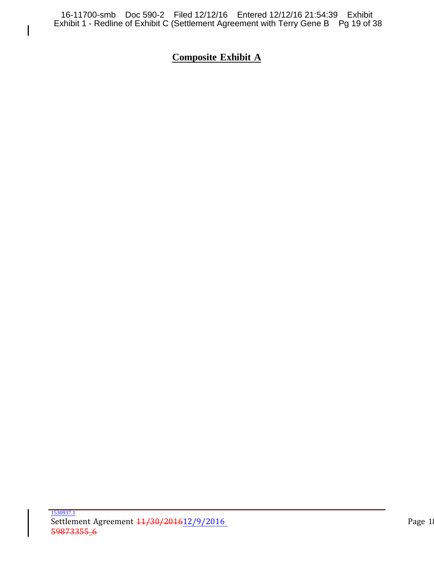$\mathsf{l}$ 

# **Composite Exhibit A**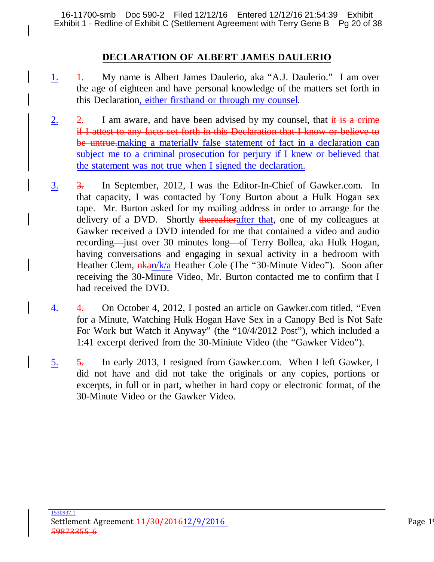16-11700-smb Doc 590-2 Filed 12/12/16 Entered 12/12/16 21:54:39 Exhibit Exhibit 1 - Redline of Exhibit C (Settlement Agreement with Terry Gene B Pg 20 of 38

#### **DECLARATION OF ALBERT JAMES DAULERIO**

- 1. 1. My name is Albert James Daulerio, aka "A.J. Daulerio." I am over the age of eighteen and have personal knowledge of the matters set forth in this Declaration, either firsthand or through my counsel.
- 2. 2. I am aware, and have been advised by my counsel, that  $\frac{d}{dt}$  is a crime if I attest to any facts set forth in this Declaration that I know or believe to be untrue.making a materially false statement of fact in a declaration can subject me to a criminal prosecution for perjury if I knew or believed that the statement was not true when I signed the declaration.
- 3. 3. In September, 2012, I was the Editor-In-Chief of Gawker.com. In that capacity, I was contacted by Tony Burton about a Hulk Hogan sex tape. Mr. Burton asked for my mailing address in order to arrange for the delivery of a DVD. Shortly thereafterafter that, one of my colleagues at Gawker received a DVD intended for me that contained a video and audio recording—just over 30 minutes long—of Terry Bollea, aka Hulk Hogan, having conversations and engaging in sexual activity in a bedroom with Heather Clem,  $\frac{n \cdot \text{R}}{a}$  Heather Cole (The "30-Minute Video"). Soon after receiving the 30-Minute Video, Mr. Burton contacted me to confirm that I had received the DVD.
- 4. 4. On October 4, 2012, I posted an article on Gawker.com titled, "Even for a Minute, Watching Hulk Hogan Have Sex in a Canopy Bed is Not Safe For Work but Watch it Anyway" (the "10/4/2012 Post"), which included a 1:41 excerpt derived from the 30-Miniute Video (the "Gawker Video").
- 5. 5. In early 2013, I resigned from Gawker.com. When I left Gawker, I did not have and did not take the originals or any copies, portions or excerpts, in full or in part, whether in hard copy or electronic format, of the 30-Minute Video or the Gawker Video.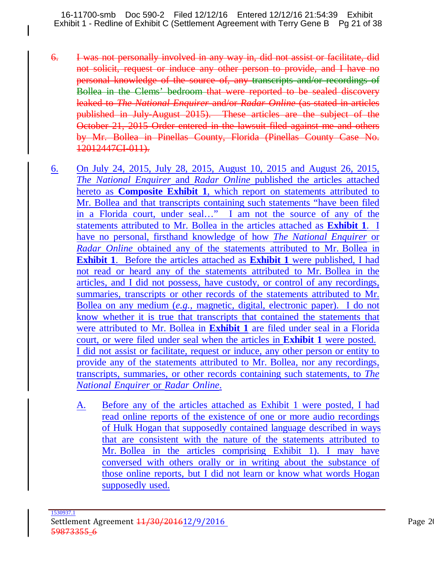16-11700-smb Doc 590-2 Filed 12/12/16 Entered 12/12/16 21:54:39 Exhibit Exhibit 1 - Redline of Exhibit C (Settlement Agreement with Terry Gene B Pg 21 of 38

- 6. I was not personally involved in any way in, did not assist or facilitate, did not solicit, request or induce any other person to provide, and I have no personal knowledge of the source of, any transcripts and/or recordings of Bollea in the Clems' bedroom that were reported to be sealed discovery leaked to *The National Enquirer* and/or *Radar Online* (as stated in articles published in July-August 2015). These articles are the subject of the October 21, 2015 Order entered in the lawsuit filed against me and others by Mr. Bollea in Pinellas County, Florida (Pinellas County Case No. 12012447CI-011).
- 6. On July 24, 2015, July 28, 2015, August 10, 2015 and August 26, 2015, *The National Enquirer* and *Radar Online* published the articles attached hereto as **Composite Exhibit 1**, which report on statements attributed to Mr. Bollea and that transcripts containing such statements "have been filed in a Florida court, under seal…" I am not the source of any of the statements attributed to Mr. Bollea in the articles attached as **Exhibit 1**. I have no personal, firsthand knowledge of how *The National Enquirer* or *Radar Online* obtained any of the statements attributed to Mr. Bollea in **Exhibit 1**. Before the articles attached as **Exhibit 1** were published, I had not read or heard any of the statements attributed to Mr. Bollea in the articles, and I did not possess, have custody, or control of any recordings, summaries, transcripts or other records of the statements attributed to Mr. Bollea on any medium (*e.g.,* magnetic, digital, electronic paper). I do not know whether it is true that transcripts that contained the statements that were attributed to Mr. Bollea in **Exhibit 1** are filed under seal in a Florida court, or were filed under seal when the articles in **Exhibit 1** were posted. I did not assist or facilitate, request or induce, any other person or entity to provide any of the statements attributed to Mr. Bollea, nor any recordings, transcripts, summaries, or other records containing such statements, to *The National Enquirer* or *Radar Online*.
	- A. Before any of the articles attached as Exhibit 1 were posted, I had read online reports of the existence of one or more audio recordings of Hulk Hogan that supposedly contained language described in ways that are consistent with the nature of the statements attributed to Mr. Bollea in the articles comprising Exhibit 1). I may have conversed with others orally or in writing about the substance of those online reports, but I did not learn or know what words Hogan supposedly used.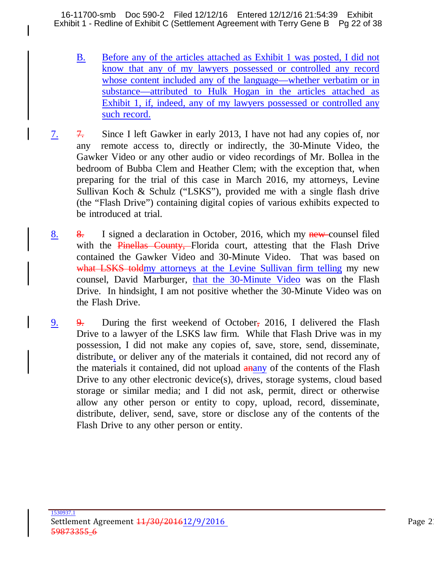16-11700-smb Doc 590-2 Filed 12/12/16 Entered 12/12/16 21:54:39 Exhibit Exhibit 1 - Redline of Exhibit C (Settlement Agreement with Terry Gene B Pg 22 of 38

- B. Before any of the articles attached as Exhibit 1 was posted, I did not know that any of my lawyers possessed or controlled any record whose content included any of the language—whether verbatim or in substance—attributed to Hulk Hogan in the articles attached as Exhibit 1, if, indeed, any of my lawyers possessed or controlled any such record.
- 7. 7. Since I left Gawker in early 2013, I have not had any copies of, nor any remote access to, directly or indirectly, the 30-Minute Video, the Gawker Video or any other audio or video recordings of Mr. Bollea in the bedroom of Bubba Clem and Heather Clem; with the exception that, when preparing for the trial of this case in March 2016, my attorneys, Levine Sullivan Koch & Schulz ("LSKS"), provided me with a single flash drive (the "Flash Drive") containing digital copies of various exhibits expected to be introduced at trial.
- 8. 8. I signed a declaration in October, 2016, which my new-counsel filed with the Pinellas County, Florida court, attesting that the Flash Drive contained the Gawker Video and 30-Minute Video. That was based on what LSKS toldmy attorneys at the Levine Sullivan firm telling my new counsel, David Marburger, that the 30-Minute Video was on the Flash Drive. In hindsight, I am not positive whether the 30-Minute Video was on the Flash Drive.
- 9. 9. During the first weekend of October, 2016, I delivered the Flash Drive to a lawyer of the LSKS law firm. While that Flash Drive was in my possession, I did not make any copies of, save, store, send, disseminate, distribute, or deliver any of the materials it contained, did not record any of the materials it contained, did not upload analy of the contents of the Flash Drive to any other electronic device(s), drives, storage systems, cloud based storage or similar media; and I did not ask, permit, direct or otherwise allow any other person or entity to copy, upload, record, disseminate, distribute, deliver, send, save, store or disclose any of the contents of the Flash Drive to any other person or entity.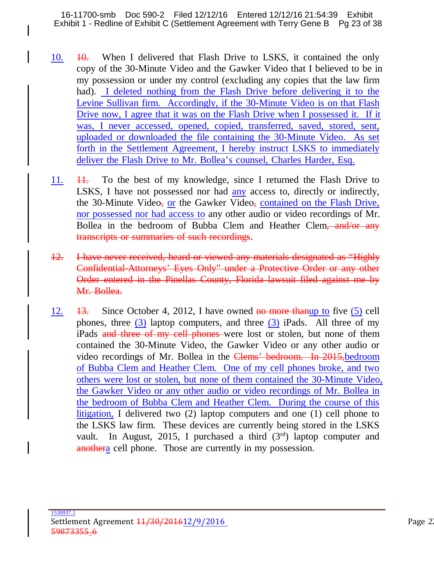16-11700-smb Doc 590-2 Filed 12/12/16 Entered 12/12/16 21:54:39 Exhibit Exhibit 1 - Redline of Exhibit C (Settlement Agreement with Terry Gene B Pg 23 of 38

- 10. 10. When I delivered that Flash Drive to LSKS, it contained the only copy of the 30-Minute Video and the Gawker Video that I believed to be in my possession or under my control (excluding any copies that the law firm had). I deleted nothing from the Flash Drive before delivering it to the Levine Sullivan firm. Accordingly, if the 30-Minute Video is on that Flash Drive now, I agree that it was on the Flash Drive when I possessed it. If it was, I never accessed, opened, copied, transferred, saved, stored, sent, uploaded or downloaded the file containing the 30-Minute Video. As set forth in the Settlement Agreement, I hereby instruct LSKS to immediately deliver the Flash Drive to Mr. Bollea's counsel, Charles Harder, Esq.
- 11. <del>11.</del> To the best of my knowledge, since I returned the Flash Drive to LSKS, I have not possessed nor had any access to, directly or indirectly, the 30-Minute Video, or the Gawker Video, contained on the Flash Drive, nor possessed nor had access to any other audio or video recordings of Mr. Bollea in the bedroom of Bubba Clem and Heather Clem, and/or any transcripts or summaries of such recordings.
- 12. I have never received, heard or viewed any materials designated as "Highly Confidential-Attorneys' Eyes Only" under a Protective Order or any other Order entered in the Pinellas County, Florida lawsuit filed against me by Mr. Bollea.
- 12.  $\frac{13}{13}$ . Since October 4, 2012, I have owned no more than up to five (5) cell phones, three  $(3)$  laptop computers, and three  $(3)$  iPads. All three of my iPads and three of my cell phones were lost or stolen, but none of them contained the 30-Minute Video, the Gawker Video or any other audio or video recordings of Mr. Bollea in the Clems' bedroom. In 2015, bedroom of Bubba Clem and Heather Clem. One of my cell phones broke, and two others were lost or stolen, but none of them contained the 30-Minute Video, the Gawker Video or any other audio or video recordings of Mr. Bollea in the bedroom of Bubba Clem and Heather Clem. During the course of this litigation, I delivered two (2) laptop computers and one (1) cell phone to the LSKS law firm. These devices are currently being stored in the LSKS vault. In August, 2015, I purchased a third  $(3<sup>rd</sup>)$  laptop computer and anothera cell phone. Those are currently in my possession.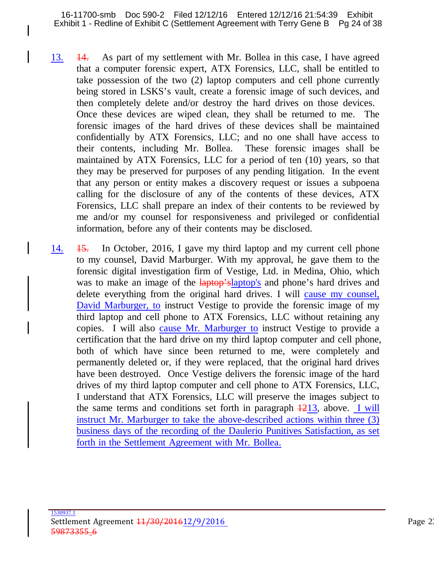- 13. 14. As part of my settlement with Mr. Bollea in this case, I have agreed that a computer forensic expert, ATX Forensics, LLC, shall be entitled to take possession of the two (2) laptop computers and cell phone currently being stored in LSKS's vault, create a forensic image of such devices, and then completely delete and/or destroy the hard drives on those devices. Once these devices are wiped clean, they shall be returned to me. The forensic images of the hard drives of these devices shall be maintained confidentially by ATX Forensics, LLC; and no one shall have access to their contents, including Mr. Bollea. These forensic images shall be maintained by ATX Forensics, LLC for a period of ten (10) years, so that they may be preserved for purposes of any pending litigation. In the event that any person or entity makes a discovery request or issues a subpoena calling for the disclosure of any of the contents of these devices, ATX Forensics, LLC shall prepare an index of their contents to be reviewed by me and/or my counsel for responsiveness and privileged or confidential information, before any of their contents may be disclosed.
- 14. 15. In October, 2016, I gave my third laptop and my current cell phone to my counsel, David Marburger. With my approval, he gave them to the forensic digital investigation firm of Vestige, Ltd. in Medina, Ohio, which was to make an image of the laptop's laptop's and phone's hard drives and delete everything from the original hard drives. I will cause my counsel, David Marburger, to instruct Vestige to provide the forensic image of my third laptop and cell phone to ATX Forensics, LLC without retaining any copies. I will also cause Mr. Marburger to instruct Vestige to provide a certification that the hard drive on my third laptop computer and cell phone, both of which have since been returned to me, were completely and permanently deleted or, if they were replaced, that the original hard drives have been destroyed. Once Vestige delivers the forensic image of the hard drives of my third laptop computer and cell phone to ATX Forensics, LLC, I understand that ATX Forensics, LLC will preserve the images subject to the same terms and conditions set forth in paragraph  $\frac{1213}{3}$ , above. I will instruct Mr. Marburger to take the above-described actions within three (3) business days of the recording of the Daulerio Punitives Satisfaction, as set forth in the Settlement Agreement with Mr. Bollea.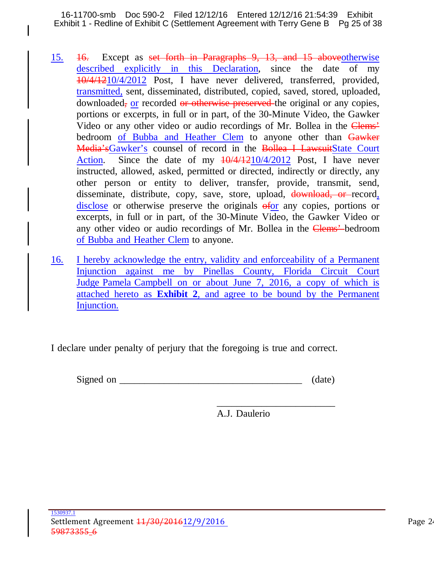16-11700-smb Doc 590-2 Filed 12/12/16 Entered 12/12/16 21:54:39 Exhibit Exhibit 1 - Redline of Exhibit C (Settlement Agreement with Terry Gene B Pg 25 of 38

- 15. 16. Except as set forth in Paragraphs 9, 13, and 15 aboveotherwise described explicitly in this Declaration, since the date of my 10/4/1210/4/2012 Post, I have never delivered, transferred, provided, transmitted, sent, disseminated, distributed, copied, saved, stored, uploaded, downloaded, or recorded or otherwise preserved the original or any copies, portions or excerpts, in full or in part, of the 30-Minute Video, the Gawker Video or any other video or audio recordings of Mr. Bollea in the Clems' bedroom of Bubba and Heather Clem to anyone other than Gawker Media's Gawker's counsel of record in the Bollea I Lawsuit State Court Action. Since the date of my  $\frac{10}{4}/\frac{4}{1210}{4}/\frac{2012}{4}$  Post, I have never instructed, allowed, asked, permitted or directed, indirectly or directly, any other person or entity to deliver, transfer, provide, transmit, send, disseminate, distribute, copy, save, store, upload, download, or record, disclose or otherwise preserve the originals of any copies, portions or excerpts, in full or in part, of the 30-Minute Video, the Gawker Video or any other video or audio recordings of Mr. Bollea in the Clems' bedroom of Bubba and Heather Clem to anyone.
- 16. I hereby acknowledge the entry, validity and enforceability of a Permanent Injunction against me by Pinellas County, Florida Circuit Court Judge Pamela Campbell on or about June 7, 2016, a copy of which is attached hereto as **Exhibit 2**, and agree to be bound by the Permanent Injunction.

I declare under penalty of perjury that the foregoing is true and correct.

| Signed<br>$\Omega$<br>~~<br>$\ddotsc$ |  |
|---------------------------------------|--|
|---------------------------------------|--|

\_\_\_\_\_\_\_\_\_\_\_\_\_\_\_\_\_\_\_\_\_\_\_\_ A.J. Daulerio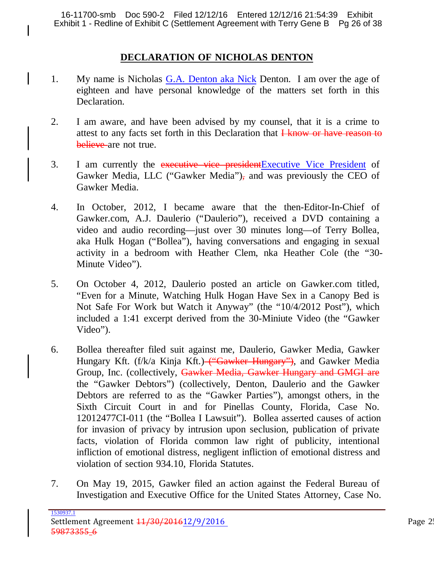16-11700-smb Doc 590-2 Filed 12/12/16 Entered 12/12/16 21:54:39 Exhibit Exhibit 1 - Redline of Exhibit C (Settlement Agreement with Terry Gene B Pg 26 of 38

### **DECLARATION OF NICHOLAS DENTON**

- 1. My name is Nicholas G.A. Denton aka Nick Denton. I am over the age of eighteen and have personal knowledge of the matters set forth in this Declaration.
- 2. I am aware, and have been advised by my counsel, that it is a crime to attest to any facts set forth in this Declaration that I know or have reason to believe are not true.
- 3. I am currently the executive vice president Executive Vice President of Gawker Media, LLC ("Gawker Media"), and was previously the CEO of Gawker Media.
- 4. In October, 2012, I became aware that the then-Editor-In-Chief of Gawker.com, A.J. Daulerio ("Daulerio"), received a DVD containing a video and audio recording—just over 30 minutes long—of Terry Bollea, aka Hulk Hogan ("Bollea"), having conversations and engaging in sexual activity in a bedroom with Heather Clem, nka Heather Cole (the "30- Minute Video").
- 5. On October 4, 2012, Daulerio posted an article on Gawker.com titled, "Even for a Minute, Watching Hulk Hogan Have Sex in a Canopy Bed is Not Safe For Work but Watch it Anyway" (the "10/4/2012 Post"), which included a 1:41 excerpt derived from the 30-Miniute Video (the "Gawker Video").
- 6. Bollea thereafter filed suit against me, Daulerio, Gawker Media, Gawker Hungary Kft. (f/k/a Kinja Kft.) ("Gawker Hungary"), and Gawker Media Group, Inc. (collectively, Gawker Media, Gawker Hungary and GMGI are the "Gawker Debtors") (collectively, Denton, Daulerio and the Gawker Debtors are referred to as the "Gawker Parties"), amongst others, in the Sixth Circuit Court in and for Pinellas County, Florida, Case No. 12012477CI-011 (the "Bollea I Lawsuit"). Bollea asserted causes of action for invasion of privacy by intrusion upon seclusion, publication of private facts, violation of Florida common law right of publicity, intentional infliction of emotional distress, negligent infliction of emotional distress and violation of section 934.10, Florida Statutes.
- 7. On May 19, 2015, Gawker filed an action against the Federal Bureau of Investigation and Executive Office for the United States Attorney, Case No.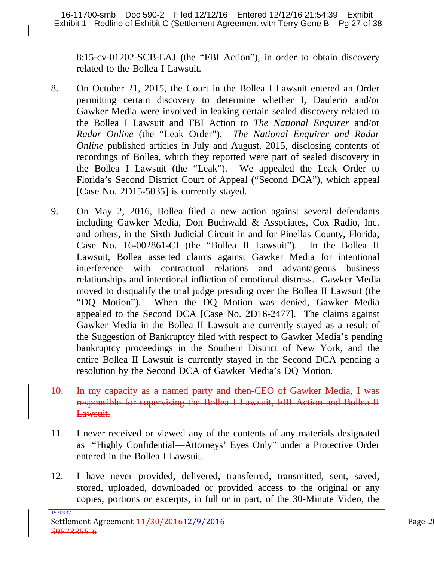8:15-cv-01202-SCB-EAJ (the "FBI Action"), in order to obtain discovery related to the Bollea I Lawsuit.

- 8. On October 21, 2015, the Court in the Bollea I Lawsuit entered an Order permitting certain discovery to determine whether I, Daulerio and/or Gawker Media were involved in leaking certain sealed discovery related to the Bollea I Lawsuit and FBI Action to *The National Enquirer* and/or *Radar Online* (the "Leak Order"). *The National Enquirer and Radar Online* published articles in July and August, 2015, disclosing contents of recordings of Bollea, which they reported were part of sealed discovery in the Bollea I Lawsuit (the "Leak"). We appealed the Leak Order to Florida's Second District Court of Appeal ("Second DCA"), which appeal [Case No. 2D15-5035] is currently stayed.
- 9. On May 2, 2016, Bollea filed a new action against several defendants including Gawker Media, Don Buchwald & Associates, Cox Radio, Inc. and others, in the Sixth Judicial Circuit in and for Pinellas County, Florida, Case No. 16-002861-CI (the "Bollea II Lawsuit"). In the Bollea II Lawsuit, Bollea asserted claims against Gawker Media for intentional interference with contractual relations and advantageous business relationships and intentional infliction of emotional distress. Gawker Media moved to disqualify the trial judge presiding over the Bollea II Lawsuit (the "DQ Motion"). When the DQ Motion was denied, Gawker Media appealed to the Second DCA [Case No. 2D16-2477]. The claims against Gawker Media in the Bollea II Lawsuit are currently stayed as a result of the Suggestion of Bankruptcy filed with respect to Gawker Media's pending bankruptcy proceedings in the Southern District of New York, and the entire Bollea II Lawsuit is currently stayed in the Second DCA pending a resolution by the Second DCA of Gawker Media's DQ Motion.
- 10. In my capacity as a named party and then-CEO of Gawker Media, I was responsible for supervising the Bollea I Lawsuit, FBI Action and Bollea II Lawsuit.
- 11. I never received or viewed any of the contents of any materials designated as "Highly Confidential—Attorneys' Eyes Only" under a Protective Order entered in the Bollea I Lawsuit.
- 12. I have never provided, delivered, transferred, transmitted, sent, saved, stored, uploaded, downloaded or provided access to the original or any copies, portions or excerpts, in full or in part, of the 30-Minute Video, the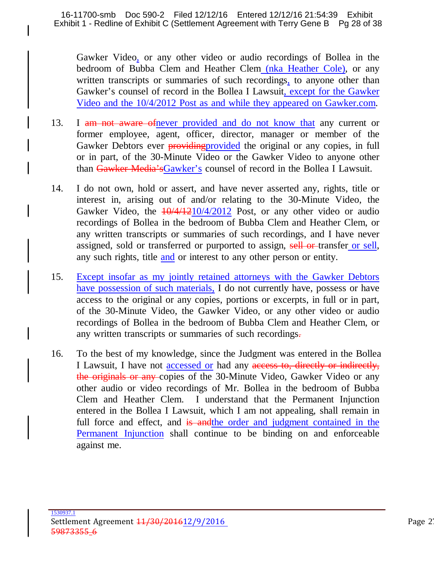Gawker Video, or any other video or audio recordings of Bollea in the bedroom of Bubba Clem and Heather Clem (nka Heather Cole), or any written transcripts or summaries of such recordings, to anyone other than Gawker's counsel of record in the Bollea I Lawsuit, except for the Gawker Video and the 10/4/2012 Post as and while they appeared on Gawker.com.

- 13. I am not aware of never provided and do not know that any current or former employee, agent, officer, director, manager or member of the Gawker Debtors ever providing provided the original or any copies, in full or in part, of the 30-Minute Video or the Gawker Video to anyone other than Gawker Media'sGawker's counsel of record in the Bollea I Lawsuit.
- 14. I do not own, hold or assert, and have never asserted any, rights, title or interest in, arising out of and/or relating to the 30-Minute Video, the Gawker Video, the  $\frac{10}{4}/\frac{4}{210}{4}/\frac{2012}{4}$  Post, or any other video or audio recordings of Bollea in the bedroom of Bubba Clem and Heather Clem, or any written transcripts or summaries of such recordings, and I have never assigned, sold or transferred or purported to assign, sell or transfer or sell, any such rights, title and or interest to any other person or entity.
- 15. Except insofar as my jointly retained attorneys with the Gawker Debtors have possession of such materials, I do not currently have, possess or have access to the original or any copies, portions or excerpts, in full or in part, of the 30-Minute Video, the Gawker Video, or any other video or audio recordings of Bollea in the bedroom of Bubba Clem and Heather Clem, or any written transcripts or summaries of such recordings.
- 16. To the best of my knowledge, since the Judgment was entered in the Bollea I Lawsuit, I have not accessed or had any access to, directly or indirectly, the originals or any copies of the 30-Minute Video, Gawker Video or any other audio or video recordings of Mr. Bollea in the bedroom of Bubba Clem and Heather Clem. I understand that the Permanent Injunction entered in the Bollea I Lawsuit, which I am not appealing, shall remain in full force and effect, and is and the order and judgment contained in the Permanent Injunction shall continue to be binding on and enforceable against me.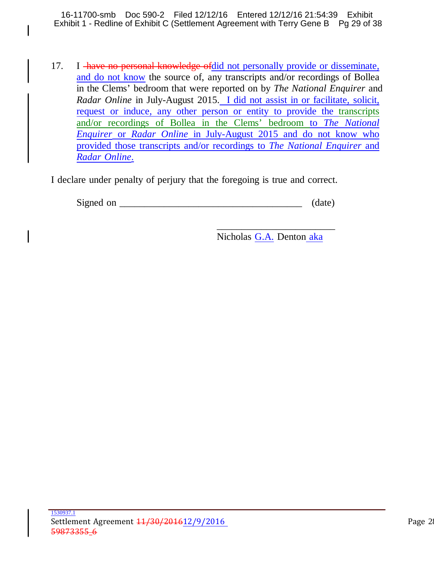16-11700-smb Doc 590-2 Filed 12/12/16 Entered 12/12/16 21:54:39 Exhibit Exhibit 1 - Redline of Exhibit C (Settlement Agreement with Terry Gene B Pg 29 of 38

I

17. I have no personal knowledge of did not personally provide or disseminate, and do not know the source of, any transcripts and/or recordings of Bollea in the Clems' bedroom that were reported on by *The National Enquirer* and *Radar Online* in July-August 2015. I did not assist in or facilitate, solicit, request or induce, any other person or entity to provide the transcripts and/or recordings of Bollea in the Clems' bedroom to *The National Enquirer* or *Radar Online* in July-August 2015 and do not know who provided those transcripts and/or recordings to *The National Enquirer* and *Radar Online*.

I declare under penalty of perjury that the foregoing is true and correct.

Signed on  $\qquad \qquad$  (date)

Nicholas G.A. Denton aka

\_\_\_\_\_\_\_\_\_\_\_\_\_\_\_\_\_\_\_\_\_\_\_\_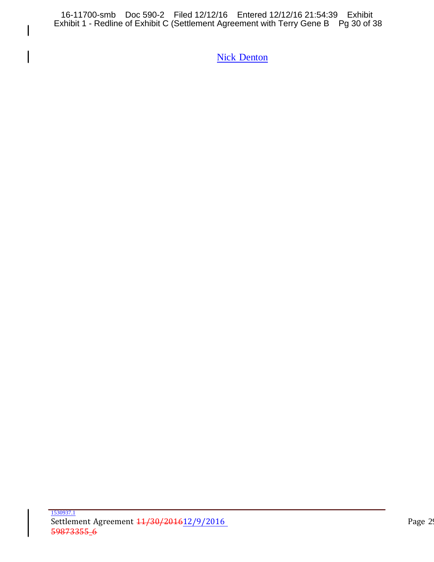16-11700-smb Doc 590-2 Filed 12/12/16 Entered 12/12/16 21:54:39 Exhibit Exhibit 1 - Redline of Exhibit C (Settlement Agreement with Terry Gene B Pg 30 of 38

 $\mathsf{l}$ 

 $\overline{\mathsf{I}}$ 

**Nick Denton**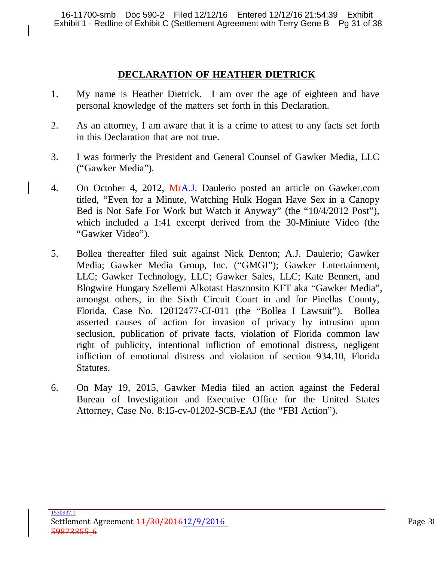### **DECLARATION OF HEATHER DIETRICK**

- 1. My name is Heather Dietrick. I am over the age of eighteen and have personal knowledge of the matters set forth in this Declaration.
- 2. As an attorney, I am aware that it is a crime to attest to any facts set forth in this Declaration that are not true.
- 3. I was formerly the President and General Counsel of Gawker Media, LLC ("Gawker Media").
- 4. On October 4, 2012, MHA.J. Daulerio posted an article on Gawker.com titled, "Even for a Minute, Watching Hulk Hogan Have Sex in a Canopy Bed is Not Safe For Work but Watch it Anyway" (the "10/4/2012 Post"), which included a 1:41 excerpt derived from the 30-Miniute Video (the "Gawker Video").
- 5. Bollea thereafter filed suit against Nick Denton; A.J. Daulerio; Gawker Media; Gawker Media Group, Inc. ("GMGI"); Gawker Entertainment, LLC; Gawker Technology, LLC; Gawker Sales, LLC; Kate Bennert, and Blogwire Hungary Szellemi Alkotast Hasznosito KFT aka "Gawker Media", amongst others, in the Sixth Circuit Court in and for Pinellas County, Florida, Case No. 12012477-CI-011 (the "Bollea I Lawsuit"). Bollea asserted causes of action for invasion of privacy by intrusion upon seclusion, publication of private facts, violation of Florida common law right of publicity, intentional infliction of emotional distress, negligent infliction of emotional distress and violation of section 934.10, Florida Statutes.
- 6. On May 19, 2015, Gawker Media filed an action against the Federal Bureau of Investigation and Executive Office for the United States Attorney, Case No. 8:15-cv-01202-SCB-EAJ (the "FBI Action").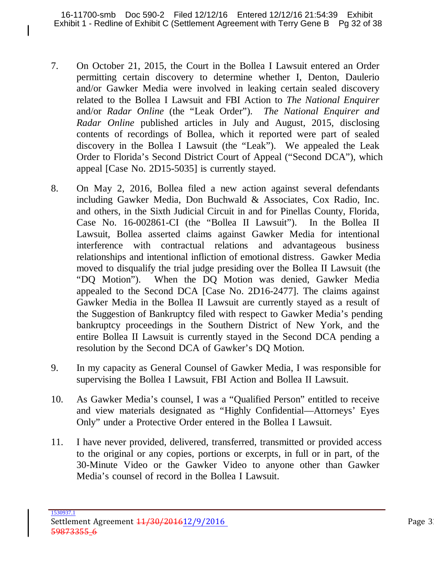16-11700-smb Doc 590-2 Filed 12/12/16 Entered 12/12/16 21:54:39 Exhibit Exhibit 1 - Redline of Exhibit C (Settlement Agreement with Terry Gene B Pg 32 of 38

- 7. On October 21, 2015, the Court in the Bollea I Lawsuit entered an Order permitting certain discovery to determine whether I, Denton, Daulerio and/or Gawker Media were involved in leaking certain sealed discovery related to the Bollea I Lawsuit and FBI Action to *The National Enquirer* and/or *Radar Online* (the "Leak Order"). *The National Enquirer and Radar Online* published articles in July and August, 2015, disclosing contents of recordings of Bollea, which it reported were part of sealed discovery in the Bollea I Lawsuit (the "Leak"). We appealed the Leak Order to Florida's Second District Court of Appeal ("Second DCA"), which appeal [Case No. 2D15-5035] is currently stayed.
- 8. On May 2, 2016, Bollea filed a new action against several defendants including Gawker Media, Don Buchwald & Associates, Cox Radio, Inc. and others, in the Sixth Judicial Circuit in and for Pinellas County, Florida, Case No. 16-002861-CI (the "Bollea II Lawsuit"). In the Bollea II Lawsuit, Bollea asserted claims against Gawker Media for intentional interference with contractual relations and advantageous business relationships and intentional infliction of emotional distress. Gawker Media moved to disqualify the trial judge presiding over the Bollea II Lawsuit (the "DQ Motion"). When the DQ Motion was denied, Gawker Media appealed to the Second DCA [Case No. 2D16-2477]. The claims against Gawker Media in the Bollea II Lawsuit are currently stayed as a result of the Suggestion of Bankruptcy filed with respect to Gawker Media's pending bankruptcy proceedings in the Southern District of New York, and the entire Bollea II Lawsuit is currently stayed in the Second DCA pending a resolution by the Second DCA of Gawker's DQ Motion.
- 9. In my capacity as General Counsel of Gawker Media, I was responsible for supervising the Bollea I Lawsuit, FBI Action and Bollea II Lawsuit.
- 10. As Gawker Media's counsel, I was a "Qualified Person" entitled to receive and view materials designated as "Highly Confidential—Attorneys' Eyes Only" under a Protective Order entered in the Bollea I Lawsuit.
- 11. I have never provided, delivered, transferred, transmitted or provided access to the original or any copies, portions or excerpts, in full or in part, of the 30-Minute Video or the Gawker Video to anyone other than Gawker Media's counsel of record in the Bollea I Lawsuit.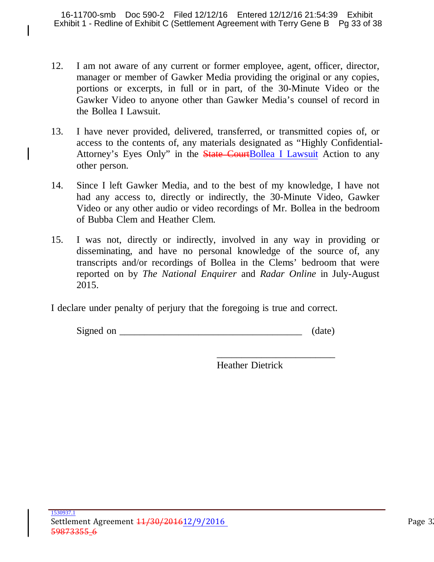- 12. I am not aware of any current or former employee, agent, officer, director, manager or member of Gawker Media providing the original or any copies, portions or excerpts, in full or in part, of the 30-Minute Video or the Gawker Video to anyone other than Gawker Media's counsel of record in the Bollea I Lawsuit.
- 13. I have never provided, delivered, transferred, or transmitted copies of, or access to the contents of, any materials designated as "Highly Confidential-Attorney's Eyes Only" in the **State CourtBollea I Lawsuit Action to any** other person.
- 14. Since I left Gawker Media, and to the best of my knowledge, I have not had any access to, directly or indirectly, the 30-Minute Video, Gawker Video or any other audio or video recordings of Mr. Bollea in the bedroom of Bubba Clem and Heather Clem.
- 15. I was not, directly or indirectly, involved in any way in providing or disseminating, and have no personal knowledge of the source of, any transcripts and/or recordings of Bollea in the Clems' bedroom that were reported on by *The National Enquirer* and *Radar Online* in July-August 2015.

I declare under penalty of perjury that the foregoing is true and correct.

| Signed<br>$\alpha r$ |  |
|----------------------|--|
|----------------------|--|

Heather Dietrick

\_\_\_\_\_\_\_\_\_\_\_\_\_\_\_\_\_\_\_\_\_\_\_\_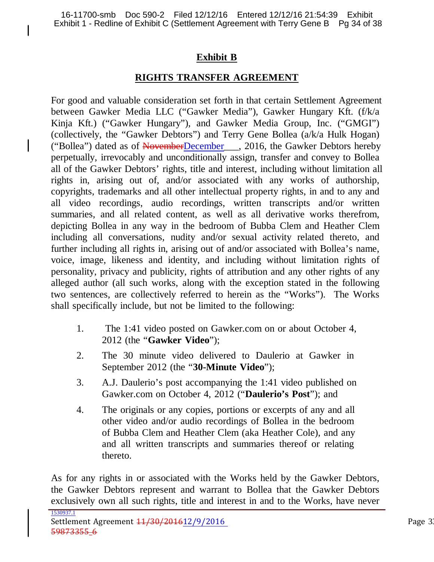## **Exhibit B**

## **RIGHTS TRANSFER AGREEMENT**

For good and valuable consideration set forth in that certain Settlement Agreement between Gawker Media LLC ("Gawker Media"), Gawker Hungary Kft. (f/k/a Kinja Kft.) ("Gawker Hungary"), and Gawker Media Group, Inc. ("GMGI") (collectively, the "Gawker Debtors") and Terry Gene Bollea (a/k/a Hulk Hogan) ("Bollea") dated as of NovemberDecember\_\_\_, 2016, the Gawker Debtors hereby perpetually, irrevocably and unconditionally assign, transfer and convey to Bollea all of the Gawker Debtors' rights, title and interest, including without limitation all rights in, arising out of, and/or associated with any works of authorship, copyrights, trademarks and all other intellectual property rights, in and to any and all video recordings, audio recordings, written transcripts and/or written summaries, and all related content, as well as all derivative works therefrom, depicting Bollea in any way in the bedroom of Bubba Clem and Heather Clem including all conversations, nudity and/or sexual activity related thereto, and further including all rights in, arising out of and/or associated with Bollea's name, voice, image, likeness and identity, and including without limitation rights of personality, privacy and publicity, rights of attribution and any other rights of any alleged author (all such works, along with the exception stated in the following two sentences, are collectively referred to herein as the "Works"). The Works shall specifically include, but not be limited to the following:

- 1. The 1:41 video posted on Gawker.com on or about October 4, 2012 (the "**Gawker Video**");
- 2. The 30 minute video delivered to Daulerio at Gawker in September 2012 (the "**30-Minute Video**");
- 3. A.J. Daulerio's post accompanying the 1:41 video published on Gawker.com on October 4, 2012 ("**Daulerio's Post**"); and
- 4. The originals or any copies, portions or excerpts of any and all other video and/or audio recordings of Bollea in the bedroom of Bubba Clem and Heather Clem (aka Heather Cole), and any and all written transcripts and summaries thereof or relating thereto.

As for any rights in or associated with the Works held by the Gawker Debtors, the Gawker Debtors represent and warrant to Bollea that the Gawker Debtors exclusively own all such rights, title and interest in and to the Works, have never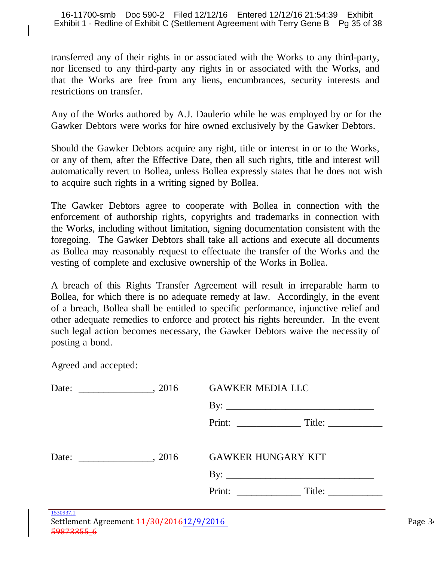transferred any of their rights in or associated with the Works to any third-party, nor licensed to any third-party any rights in or associated with the Works, and that the Works are free from any liens, encumbrances, security interests and restrictions on transfer.

Any of the Works authored by A.J. Daulerio while he was employed by or for the Gawker Debtors were works for hire owned exclusively by the Gawker Debtors.

Should the Gawker Debtors acquire any right, title or interest in or to the Works, or any of them, after the Effective Date, then all such rights, title and interest will automatically revert to Bollea, unless Bollea expressly states that he does not wish to acquire such rights in a writing signed by Bollea.

The Gawker Debtors agree to cooperate with Bollea in connection with the enforcement of authorship rights, copyrights and trademarks in connection with the Works, including without limitation, signing documentation consistent with the foregoing. The Gawker Debtors shall take all actions and execute all documents as Bollea may reasonably request to effectuate the transfer of the Works and the vesting of complete and exclusive ownership of the Works in Bollea.

A breach of this Rights Transfer Agreement will result in irreparable harm to Bollea, for which there is no adequate remedy at law. Accordingly, in the event of a breach, Bollea shall be entitled to specific performance, injunctive relief and other adequate remedies to enforce and protect his rights hereunder. In the event such legal action becomes necessary, the Gawker Debtors waive the necessity of posting a bond.

Agreed and accepted:

|                                                        | <b>GAWKER MEDIA LLC</b>   |  |
|--------------------------------------------------------|---------------------------|--|
|                                                        | By: $\qquad \qquad$       |  |
|                                                        |                           |  |
|                                                        |                           |  |
|                                                        | <b>GAWKER HUNGARY KFT</b> |  |
|                                                        |                           |  |
|                                                        |                           |  |
| 1530937.1<br>$Cottlomont Arconont 11/20/201612/0/2016$ |                           |  |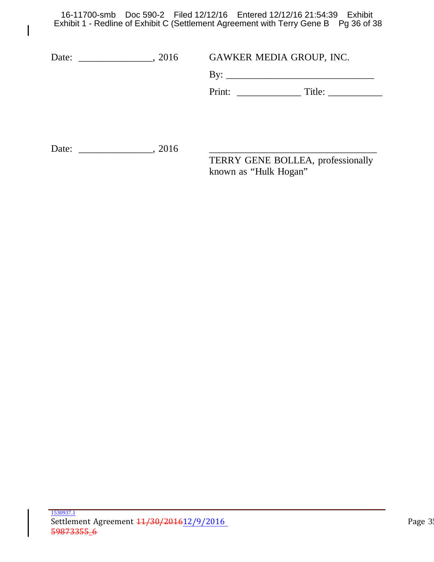16-11700-smb Doc 590-2 Filed 12/12/16 Entered 12/12/16 21:54:39 Exhibit Exhibit 1 - Redline of Exhibit C (Settlement Agreement with Terry Gene B Pg 36 of 38

 $\mathsf{l}$ 

| , 2016<br>Date: |  | GAWKER MEDIA GROUP, INC.                                   |  |
|-----------------|--|------------------------------------------------------------|--|
|                 |  |                                                            |  |
|                 |  | Title:                                                     |  |
|                 |  |                                                            |  |
|                 |  |                                                            |  |
| , 2016<br>Date: |  |                                                            |  |
|                 |  | TERRY GENE BOLLEA, professionally<br>known as "Hulk Hogan" |  |
|                 |  |                                                            |  |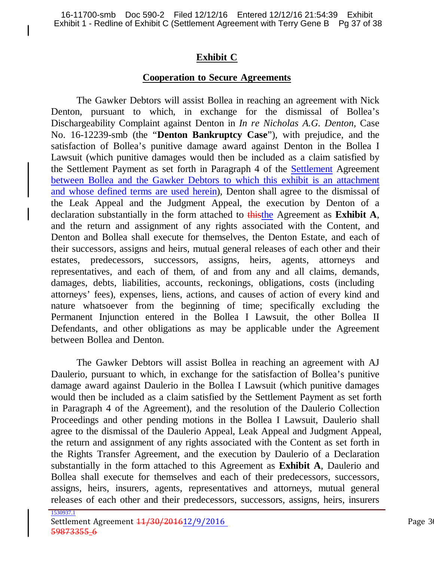## **Exhibit C**

## **Cooperation to Secure Agreements**

The Gawker Debtors will assist Bollea in reaching an agreement with Nick Denton, pursuant to which, in exchange for the dismissal of Bollea's Dischargeability Complaint against Denton in *In re Nicholas A.G. Denton,* Case No. 16-12239-smb (the "**Denton Bankruptcy Case**"), with prejudice, and the satisfaction of Bollea's punitive damage award against Denton in the Bollea I Lawsuit (which punitive damages would then be included as a claim satisfied by the Settlement Payment as set forth in Paragraph 4 of the Settlement Agreement between Bollea and the Gawker Debtors to which this exhibit is an attachment and whose defined terms are used herein), Denton shall agree to the dismissal of the Leak Appeal and the Judgment Appeal, the execution by Denton of a declaration substantially in the form attached to thisthe Agreement as **Exhibit A**, and the return and assignment of any rights associated with the Content, and Denton and Bollea shall execute for themselves, the Denton Estate, and each of their successors, assigns and heirs, mutual general releases of each other and their estates, predecessors, successors, assigns, heirs, agents, attorneys and representatives, and each of them, of and from any and all claims, demands, damages, debts, liabilities, accounts, reckonings, obligations, costs (including attorneys' fees), expenses, liens, actions, and causes of action of every kind and nature whatsoever from the beginning of time; specifically excluding the Permanent Injunction entered in the Bollea I Lawsuit, the other Bollea II Defendants, and other obligations as may be applicable under the Agreement between Bollea and Denton.

The Gawker Debtors will assist Bollea in reaching an agreement with AJ Daulerio, pursuant to which, in exchange for the satisfaction of Bollea's punitive damage award against Daulerio in the Bollea I Lawsuit (which punitive damages would then be included as a claim satisfied by the Settlement Payment as set forth in Paragraph 4 of the Agreement), and the resolution of the Daulerio Collection Proceedings and other pending motions in the Bollea I Lawsuit, Daulerio shall agree to the dismissal of the Daulerio Appeal, Leak Appeal and Judgment Appeal, the return and assignment of any rights associated with the Content as set forth in the Rights Transfer Agreement, and the execution by Daulerio of a Declaration substantially in the form attached to this Agreement as **Exhibit A**, Daulerio and Bollea shall execute for themselves and each of their predecessors, successors, assigns, heirs, insurers, agents, representatives and attorneys, mutual general releases of each other and their predecessors, successors, assigns, heirs, insurers